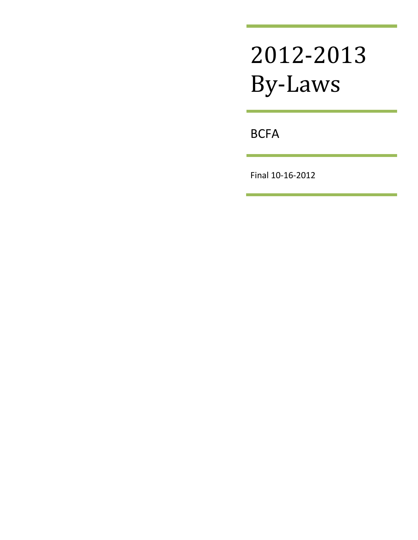# 2012-2013 By-Laws

**BCFA** 

Final 10-16-2012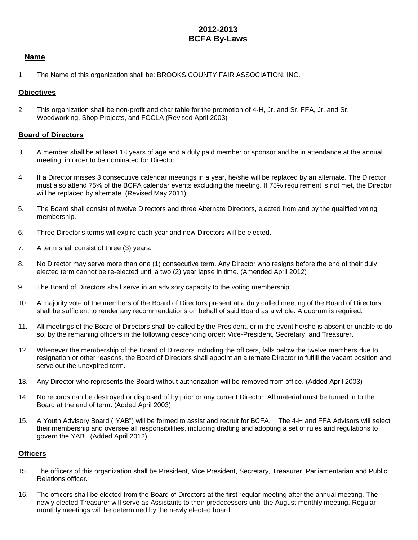# **2012-2013 BCFA By-Laws**

#### **Name**

1. The Name of this organization shall be: BROOKS COUNTY FAIR ASSOCIATION, INC.

#### **Objectives**

2. This organization shall be non-profit and charitable for the promotion of 4-H, Jr. and Sr. FFA, Jr. and Sr. Woodworking, Shop Projects, and FCCLA (Revised April 2003)

#### **Board of Directors**

- 3. A member shall be at least 18 years of age and a duly paid member or sponsor and be in attendance at the annual meeting, in order to be nominated for Director.
- 4. If a Director misses 3 consecutive calendar meetings in a year, he/she will be replaced by an alternate. The Director must also attend 75% of the BCFA calendar events excluding the meeting. If 75% requirement is not met, the Director will be replaced by alternate. (Revised May 2011)
- 5. The Board shall consist of twelve Directors and three Alternate Directors, elected from and by the qualified voting membership.
- 6. Three Director's terms will expire each year and new Directors will be elected.
- 7. A term shall consist of three (3) years.
- 8. No Director may serve more than one (1) consecutive term. Any Director who resigns before the end of their duly elected term cannot be re-elected until a two (2) year lapse in time. (Amended April 2012)
- 9. The Board of Directors shall serve in an advisory capacity to the voting membership.
- 10. A majority vote of the members of the Board of Directors present at a duly called meeting of the Board of Directors shall be sufficient to render any recommendations on behalf of said Board as a whole. A quorum is required.
- 11. All meetings of the Board of Directors shall be called by the President, or in the event he/she is absent or unable to do so, by the remaining officers in the following descending order: Vice-President, Secretary, and Treasurer.
- 12. Whenever the membership of the Board of Directors including the officers, falls below the twelve members due to resignation or other reasons, the Board of Directors shall appoint an alternate Director to fulfill the vacant position and serve out the unexpired term.
- 13. Any Director who represents the Board without authorization will be removed from office. (Added April 2003)
- 14. No records can be destroyed or disposed of by prior or any current Director. All material must be turned in to the Board at the end of term. (Added April 2003)
- 15. A Youth Advisory Board ("YAB") will be formed to assist and recruit for BCFA. The 4-H and FFA Advisors will select their membership and oversee all responsibilities, including drafting and adopting a set of rules and regulations to govern the YAB. (Added April 2012)

#### **Officers**

- 15. The officers of this organization shall be President, Vice President, Secretary, Treasurer, Parliamentarian and Public Relations officer.
- 16. The officers shall be elected from the Board of Directors at the first regular meeting after the annual meeting. The newly elected Treasurer will serve as Assistants to their predecessors until the August monthly meeting. Regular monthly meetings will be determined by the newly elected board.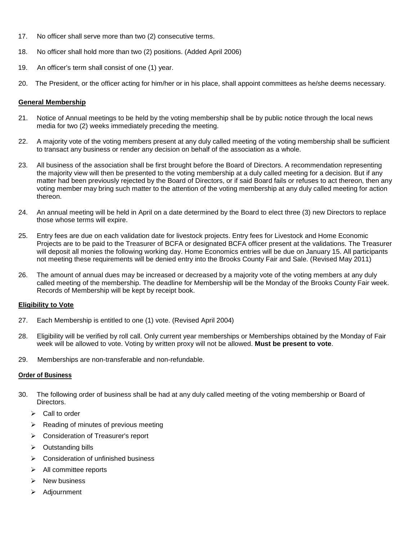- 17. No officer shall serve more than two (2) consecutive terms.
- 18. No officer shall hold more than two (2) positions. (Added April 2006)
- 19. An officer's term shall consist of one (1) year.
- 20. The President, or the officer acting for him/her or in his place, shall appoint committees as he/she deems necessary.

#### **General Membership**

- 21. Notice of Annual meetings to be held by the voting membership shall be by public notice through the local news media for two (2) weeks immediately preceding the meeting.
- 22. A majority vote of the voting members present at any duly called meeting of the voting membership shall be sufficient to transact any business or render any decision on behalf of the association as a whole.
- 23. All business of the association shall be first brought before the Board of Directors. A recommendation representing the majority view will then be presented to the voting membership at a duly called meeting for a decision. But if any matter had been previously rejected by the Board of Directors, or if said Board fails or refuses to act thereon, then any voting member may bring such matter to the attention of the voting membership at any duly called meeting for action thereon.
- 24. An annual meeting will be held in April on a date determined by the Board to elect three (3) new Directors to replace those whose terms will expire.
- 25. Entry fees are due on each validation date for livestock projects. Entry fees for Livestock and Home Economic Projects are to be paid to the Treasurer of BCFA or designated BCFA officer present at the validations. The Treasurer will deposit all monies the following working day. Home Economics entries will be due on January 15. All participants not meeting these requirements will be denied entry into the Brooks County Fair and Sale. (Revised May 2011)
- 26. The amount of annual dues may be increased or decreased by a majority vote of the voting members at any duly called meeting of the membership. The deadline for Membership will be the Monday of the Brooks County Fair week. Records of Membership will be kept by receipt book.

#### **Eligibility to Vote**

- 27. Each Membership is entitled to one (1) vote. (Revised April 2004)
- 28. Eligibility will be verified by roll call. Only current year memberships or Memberships obtained by the Monday of Fair week will be allowed to vote. Voting by written proxy will not be allowed. **Must be present to vote**.
- 29. Memberships are non-transferable and non-refundable.

#### **Order of Business**

- 30. The following order of business shall be had at any duly called meeting of the voting membership or Board of Directors.
	- $\triangleright$  Call to order
	- $\triangleright$  Reading of minutes of previous meeting
	- **►** Consideration of Treasurer's report
	- $\triangleright$  Outstanding bills
	- $\triangleright$  Consideration of unfinished business
	- $\triangleright$  All committee reports
	- $\triangleright$  New business
	- > Adjournment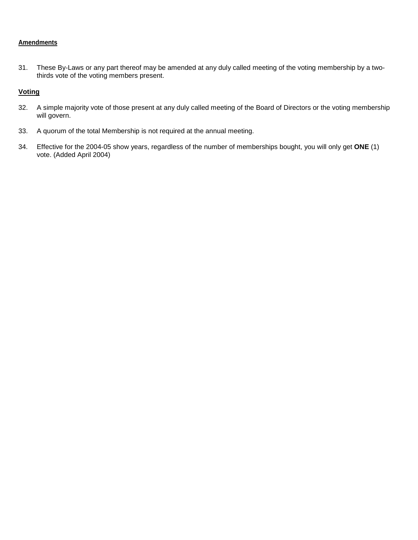#### **Amendments**

31. These By-Laws or any part thereof may be amended at any duly called meeting of the voting membership by a twothirds vote of the voting members present.

#### **Voting**

- 32. A simple majority vote of those present at any duly called meeting of the Board of Directors or the voting membership will govern.
- 33. A quorum of the total Membership is not required at the annual meeting.
- 34. Effective for the 2004-05 show years, regardless of the number of memberships bought, you will only get **ONE** (1) vote. (Added April 2004)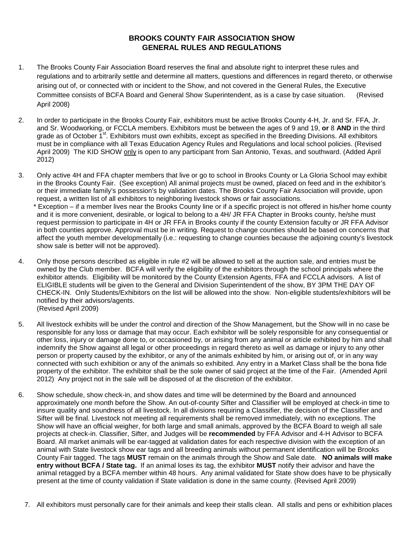#### **BROOKS COUNTY FAIR ASSOCIATION SHOW GENERAL RULES AND REGULATIONS**

- 1. The Brooks County Fair Association Board reserves the final and absolute right to interpret these rules and regulations and to arbitrarily settle and determine all matters, questions and differences in regard thereto, or otherwise arising out of, or connected with or incident to the Show, and not covered in the General Rules, the Executive Committee consists of BCFA Board and General Show Superintendent, as is a case by case situation. (Revised April 2008)
- 2. In order to participate in the Brooks County Fair, exhibitors must be active Brooks County 4-H, Jr. and Sr. FFA, Jr. and Sr. Woodworking, or FCCLA members. Exhibitors must be between the ages of 9 and 19, **or** 8 **AND** in the third grade as of October 1<sup>st</sup>. Exhibitors must own exhibits, except as specified in the Breeding Divisions. All exhibitors must be in compliance with all Texas Education Agency Rules and Regulations and local school policies. (Revised April 2009) The KID SHOW only is open to any participant from San Antonio, Texas, and southward. (Added April 2012)
- 3. Only active 4H and FFA chapter members that live or go to school in Brooks County or La Gloria School may exhibit in the Brooks County Fair. (See exception) All animal projects must be owned, placed on feed and in the exhibitor's or their immediate family's possession's by validation dates. The Brooks County Fair Association will provide, upon request, a written list of all exhibitors to neighboring livestock shows or fair associations.

 \* Exception – if a member lives near the Brooks County line or if a specific project is not offered in his/her home county and it is more convenient, desirable, or logical to belong to a 4H/ JR FFA Chapter in Brooks county, he/she must request permission to participate in 4H or JR FFA in Brooks county if the county Extension faculty or JR FFA Advisor in both counties approve. Approval must be in writing. Request to change counties should be based on concerns that affect the youth member developmentally (i.e.: requesting to change counties because the adjoining county's livestock show sale is better will not be approved).

- 4. Only those persons described as eligible in rule #2 will be allowed to sell at the auction sale, and entries must be owned by the Club member. BCFA will verify the eligibility of the exhibitors through the school principals where the exhibitor attends. Eligibility will be monitored by the County Extension Agents, FFA and FCCLA advisors. A list of ELIGIBLE students will be given to the General and Division Superintendent of the show, BY 3PM THE DAY OF CHECK-IN. Only Students/Exhibitors on the list will be allowed into the show. Non-eligible students/exhibitors will be notified by their advisors/agents. (Revised April 2009)
- 5. All livestock exhibits will be under the control and direction of the Show Management, but the Show will in no case be responsible for any loss or damage that may occur. Each exhibitor will be solely responsible for any consequential or other loss, injury or damage done to, or occasioned by, or arising from any animal or article exhibited by him and shall indemnify the Show against all legal or other proceedings in regard thereto as well as damage or injury to any other person or property caused by the exhibitor, or any of the animals exhibited by him, or arising out of, or in any way connected with such exhibition or any of the animals so exhibited. Any entry in a Market Class shall be the bona fide property of the exhibitor. The exhibitor shall be the sole owner of said project at the time of the Fair. (Amended April 2012) Any project not in the sale will be disposed of at the discretion of the exhibitor.
- 6. Show schedule, show check-in, and show dates and time will be determined by the Board and announced approximately one month before the Show. An out-of-county Sifter and Classifier will be employed at check-in time to insure quality and soundness of all livestock. In all divisions requiring a Classifier, the decision of the Classifier and Sifter will be final. Livestock not meeting all requirements shall be removed immediately, with no exceptions. The Show will have an official weigher, for both large and small animals, approved by the BCFA Board to weigh all sale projects at check-in. Classifier, Sifter, and Judges will be **recommended** by FFA Advisor and 4-H Advisor to BCFA Board. All market animals will be ear-tagged at validation dates for each respective division with the exception of an animal with State livestock show ear tags and all breeding animals without permanent identification will be Brooks County Fair tagged. The tags **MUST** remain on the animals through the Show and Sale date. **NO animals will make entry without BCFA / State tag.** If an animal loses its tag, the exhibitor **MUST** notify their advisor and have the animal retagged by a BCFA member within 48 hours. Any animal validated for State show does have to be physically present at the time of county validation if State validation is done in the same county. (Revised April 2009)
	- 7. All exhibitors must personally care for their animals and keep their stalls clean. All stalls and pens or exhibition places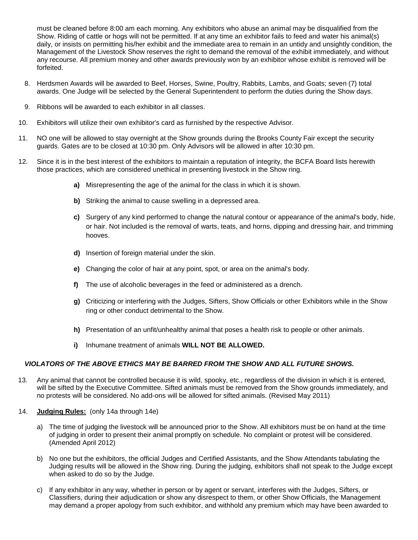must be cleaned before 8:00 am each morning. Any exhibitors who abuse an animal may be disqualified from the Show. Riding of cattle or hogs will not be permitted. If at any time an exhibitor fails to feed and water his animal(s) daily, or insists on permitting his/her exhibit and the immediate area to remain in an untidy and unsightly condition, the Management of the Livestock Show reserves the right to demand the removal of the exhibit immediately, and without any recourse. All premium money and other awards previously won by an exhibitor whose exhibit is removed will be forfeited.

- 8. Herdsmen Awards will be awarded to Beef, Horses, Swine, Poultry, Rabbits, Lambs, and Goats; seven (7) total awards. One Judge will be selected by the General Superintendent to perform the duties during the Show days.
- 9. Ribbons will be awarded to each exhibitor in all classes.
- 10. Exhibitors will utilize their own exhibitor's card as furnished by the respective Advisor.
- 11. NO one will be allowed to stay overnight at the Show grounds during the Brooks County Fair except the security guards. Gates are to be closed at 10:30 pm. Only Advisors will be allowed in after 10:30 pm.
- 12. Since it is in the best interest of the exhibitors to maintain a reputation of integrity, the BCFA Board lists herewith those practices, which are considered unethical in presenting livestock in the Show ring.
	- **a)** Misrepresenting the age of the animal for the class in which it is shown.
	- **b)** Striking the animal to cause swelling in a depressed area.
	- **c)** Surgery of any kind performed to change the natural contour or appearance of the animal's body, hide, or hair. Not included is the removal of warts, teats, and horns, dipping and dressing hair, and trimming hooves.
	- **d)** Insertion of foreign material under the skin.
	- **e)** Changing the color of hair at any point, spot, or area on the animal's body.
	- **f)** The use of alcoholic beverages in the feed or administered as a drench.
	- **g)** Criticizing or interfering with the Judges, Sifters, Show Officials or other Exhibitors while in the Show ring or other conduct detrimental to the Show.
	- **h)** Presentation of an unfit/unhealthy animal that poses a health risk to people or other animals.
	- **i)** Inhumane treatment of animals **WILL NOT BE ALLOWED.**

#### *VIOLATORS OF THE ABOVE ETHICS MAY BE BARRED FROM THE SHOW AND ALL FUTURE SHOWS.*

- 13. Any animal that cannot be controlled because it is wild, spooky, etc., regardless of the division in which it is entered, will be sifted by the Executive Committee. Sifted animals must be removed from the Show grounds immediately, and no protests will be considered. No add-ons will be allowed for sifted animals. (Revised May 2011)
- 14. **Judging Rules:** (only 14a through 14e)
	- a) The time of judging the livestock will be announced prior to the Show. All exhibitors must be on hand at the time of judging in order to present their animal promptly on schedule. No complaint or protest will be considered. (Amended April 2012)
	- b) No one but the exhibitors, the official Judges and Certified Assistants, and the Show Attendants tabulating the Judging results will be allowed in the Show ring. During the judging, exhibitors shall not speak to the Judge except when asked to do so by the Judge.
	- c) If any exhibitor in any way, whether in person or by agent or servant, interferes with the Judges, Sifters, or Classifiers, during their adjudication or show any disrespect to them, or other Show Officials, the Management may demand a proper apology from such exhibitor, and withhold any premium which may have been awarded to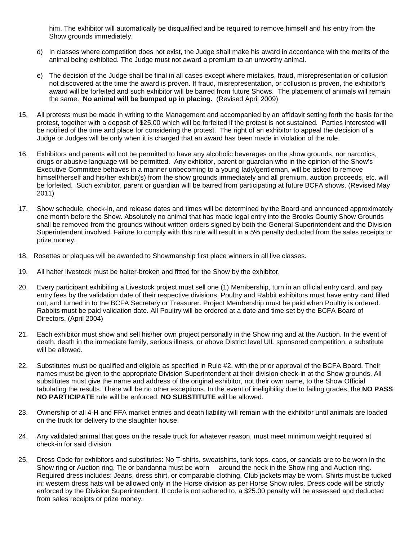him. The exhibitor will automatically be disqualified and be required to remove himself and his entry from the Show grounds immediately.

- d) In classes where competition does not exist, the Judge shall make his award in accordance with the merits of the animal being exhibited. The Judge must not award a premium to an unworthy animal.
- e) The decision of the Judge shall be final in all cases except where mistakes, fraud, misrepresentation or collusion not discovered at the time the award is proven. If fraud, misrepresentation, or collusion is proven, the exhibitor's award will be forfeited and such exhibitor will be barred from future Shows. The placement of animals will remain the same. **No animal will be bumped up in placing.** (Revised April 2009)
- 15. All protests must be made in writing to the Management and accompanied by an affidavit setting forth the basis for the protest, together with a deposit of \$25.00 which will be forfeited if the protest is not sustained. Parties interested will be notified of the time and place for considering the protest. The right of an exhibitor to appeal the decision of a Judge or Judges will be only when it is charged that an award has been made in violation of the rule.
- 16. Exhibitors and parents will not be permitted to have any alcoholic beverages on the show grounds, nor narcotics, drugs or abusive language will be permitted. Any exhibitor, parent or guardian who in the opinion of the Show's Executive Committee behaves in a manner unbecoming to a young lady/gentleman, will be asked to remove himself/herself and his/her exhibit(s) from the show grounds immediately and all premium, auction proceeds, etc. will be forfeited. Such exhibitor, parent or guardian will be barred from participating at future BCFA shows. (Revised May 2011)
- 17. Show schedule, check-in, and release dates and times will be determined by the Board and announced approximately one month before the Show. Absolutely no animal that has made legal entry into the Brooks County Show Grounds shall be removed from the grounds without written orders signed by both the General Superintendent and the Division Superintendent involved. Failure to comply with this rule will result in a 5% penalty deducted from the sales receipts or prize money.
- 18. Rosettes or plaques will be awarded to Showmanship first place winners in all live classes.
- 19. All halter livestock must be halter-broken and fitted for the Show by the exhibitor.
- 20. Every participant exhibiting a Livestock project must sell one (1) Membership, turn in an official entry card, and pay entry fees by the validation date of their respective divisions. Poultry and Rabbit exhibitors must have entry card filled out, and turned in to the BCFA Secretary or Treasurer. Project Membership must be paid when Poultry is ordered. Rabbits must be paid validation date. All Poultry will be ordered at a date and time set by the BCFA Board of Directors. (April 2004)
- 21. Each exhibitor must show and sell his/her own project personally in the Show ring and at the Auction. In the event of death, death in the immediate family, serious illness, or above District level UIL sponsored competition, a substitute will be allowed.
- 22. Substitutes must be qualified and eligible as specified in Rule #2, with the prior approval of the BCFA Board. Their names must be given to the appropriate Division Superintendent at their division check-in at the Show grounds. All substitutes must give the name and address of the original exhibitor, not their own name, to the Show Official tabulating the results. There will be no other exceptions. In the event of ineligibility due to failing grades, the **NO PASS NO PARTICIPATE** rule will be enforced. **NO SUBSTITUTE** will be allowed.
- 23. Ownership of all 4-H and FFA market entries and death liability will remain with the exhibitor until animals are loaded on the truck for delivery to the slaughter house.
- 24. Any validated animal that goes on the resale truck for whatever reason, must meet minimum weight required at check-in for said division.
- 25. Dress Code for exhibitors and substitutes: No T-shirts, sweatshirts, tank tops, caps, or sandals are to be worn in the Show ring or Auction ring. Tie or bandanna must be worn around the neck in the Show ring and Auction ring. Required dress includes: Jeans, dress shirt, or comparable clothing. Club jackets may be worn. Shirts must be tucked in; western dress hats will be allowed only in the Horse division as per Horse Show rules. Dress code will be strictly enforced by the Division Superintendent. If code is not adhered to, a \$25.00 penalty will be assessed and deducted from sales receipts or prize money.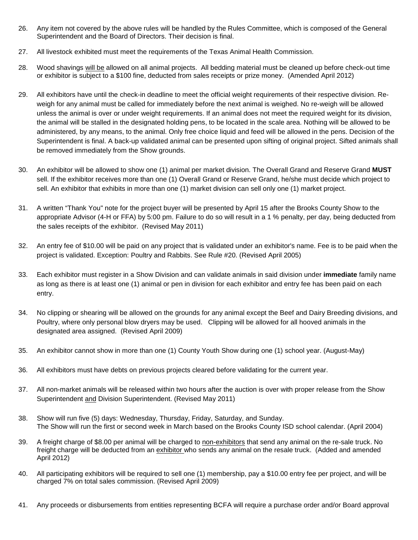- 26. Any item not covered by the above rules will be handled by the Rules Committee, which is composed of the General Superintendent and the Board of Directors. Their decision is final.
- 27. All livestock exhibited must meet the requirements of the Texas Animal Health Commission.
- 28. Wood shavings will be allowed on all animal projects. All bedding material must be cleaned up before check-out time or exhibitor is subject to a \$100 fine, deducted from sales receipts or prize money. (Amended April 2012)
- 29. All exhibitors have until the check-in deadline to meet the official weight requirements of their respective division. Reweigh for any animal must be called for immediately before the next animal is weighed. No re-weigh will be allowed unless the animal is over or under weight requirements. If an animal does not meet the required weight for its division, the animal will be stalled in the designated holding pens, to be located in the scale area. Nothing will be allowed to be administered, by any means, to the animal. Only free choice liquid and feed will be allowed in the pens. Decision of the Superintendent is final. A back-up validated animal can be presented upon sifting of original project. Sifted animals shall be removed immediately from the Show grounds.
- 30. An exhibitor will be allowed to show one (1) animal per market division. The Overall Grand and Reserve Grand **MUST** sell. If the exhibitor receives more than one (1) Overall Grand or Reserve Grand, he/she must decide which project to sell. An exhibitor that exhibits in more than one (1) market division can sell only one (1) market project.
- 31. A written "Thank You" note for the project buyer will be presented by April 15 after the Brooks County Show to the appropriate Advisor (4-H or FFA) by 5:00 pm. Failure to do so will result in a 1 % penalty, per day, being deducted from the sales receipts of the exhibitor. (Revised May 2011)
- 32. An entry fee of \$10.00 will be paid on any project that is validated under an exhibitor's name. Fee is to be paid when the project is validated. Exception: Poultry and Rabbits. See Rule #20. (Revised April 2005)
- 33. Each exhibitor must register in a Show Division and can validate animals in said division under **immediate** family name as long as there is at least one (1) animal or pen in division for each exhibitor and entry fee has been paid on each entry.
- 34. No clipping or shearing will be allowed on the grounds for any animal except the Beef and Dairy Breeding divisions, and Poultry, where only personal blow dryers may be used. Clipping will be allowed for all hooved animals in the designated area assigned. (Revised April 2009)
- 35. An exhibitor cannot show in more than one (1) County Youth Show during one (1) school year. (August-May)
- 36. All exhibitors must have debts on previous projects cleared before validating for the current year.
- 37. All non-market animals will be released within two hours after the auction is over with proper release from the Show Superintendent and Division Superintendent. (Revised May 2011)
- 38. Show will run five (5) days: Wednesday, Thursday, Friday, Saturday, and Sunday. The Show will run the first or second week in March based on the Brooks County ISD school calendar. (April 2004)
- 39. A freight charge of \$8.00 per animal will be charged to non-exhibitors that send any animal on the re-sale truck. No freight charge will be deducted from an exhibitor who sends any animal on the resale truck. (Added and amended April 2012)
- 40. All participating exhibitors will be required to sell one (1) membership, pay a \$10.00 entry fee per project, and will be charged 7% on total sales commission. (Revised April 2009)
- 41. Any proceeds or disbursements from entities representing BCFA will require a purchase order and/or Board approval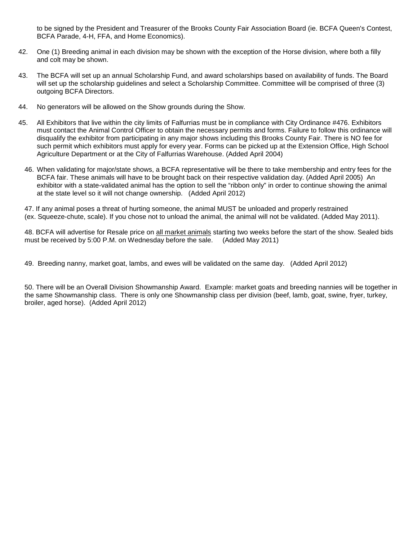to be signed by the President and Treasurer of the Brooks County Fair Association Board (ie. BCFA Queen's Contest, BCFA Parade, 4-H, FFA, and Home Economics).

- 42. One (1) Breeding animal in each division may be shown with the exception of the Horse division, where both a filly and colt may be shown.
- 43. The BCFA will set up an annual Scholarship Fund, and award scholarships based on availability of funds. The Board will set up the scholarship guidelines and select a Scholarship Committee. Committee will be comprised of three (3) outgoing BCFA Directors.
- 44. No generators will be allowed on the Show grounds during the Show.
- 45. All Exhibitors that live within the city limits of Falfurrias must be in compliance with City Ordinance #476. Exhibitors must contact the Animal Control Officer to obtain the necessary permits and forms. Failure to follow this ordinance will disqualify the exhibitor from participating in any major shows including this Brooks County Fair. There is NO fee for such permit which exhibitors must apply for every year. Forms can be picked up at the Extension Office, High School Agriculture Department or at the City of Falfurrias Warehouse. (Added April 2004)
	- 46. When validating for major/state shows, a BCFA representative will be there to take membership and entry fees for the BCFA fair. These animals will have to be brought back on their respective validation day. (Added April 2005) An exhibitor with a state-validated animal has the option to sell the "ribbon only" in order to continue showing the animal at the state level so it will not change ownership. (Added April 2012)

47. If any animal poses a threat of hurting someone, the animal MUST be unloaded and properly restrained (ex. Squeeze-chute, scale). If you chose not to unload the animal, the animal will not be validated. (Added May 2011).

48. BCFA will advertise for Resale price on all market animals starting two weeks before the start of the show. Sealed bids must be received by 5:00 P.M. on Wednesday before the sale. (Added May 2011) must be received by 5:00 P.M. on Wednesday before the sale.

49. Breeding nanny, market goat, lambs, and ewes will be validated on the same day. (Added April 2012)

50. There will be an Overall Division Showmanship Award. Example: market goats and breeding nannies will be together in the same Showmanship class. There is only one Showmanship class per division (beef, lamb, goat, swine, fryer, turkey, broiler, aged horse). (Added April 2012)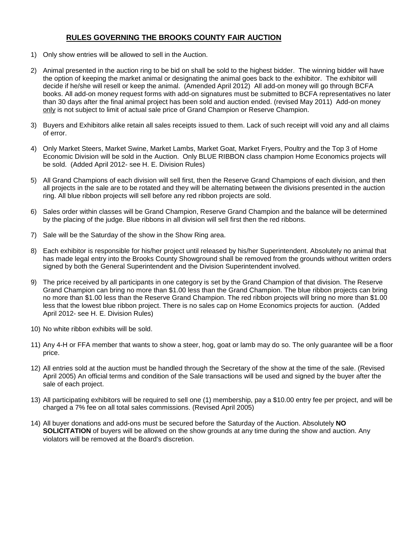#### **RULES GOVERNING THE BROOKS COUNTY FAIR AUCTION**

- 1) Only show entries will be allowed to sell in the Auction.
- 2) Animal presented in the auction ring to be bid on shall be sold to the highest bidder. The winning bidder will have the option of keeping the market animal or designating the animal goes back to the exhibitor. The exhibitor will decide if he/she will resell or keep the animal. (Amended April 2012) All add-on money will go through BCFA books. All add-on money request forms with add-on signatures must be submitted to BCFA representatives no later than 30 days after the final animal project has been sold and auction ended. (revised May 2011) Add-on money only is not subject to limit of actual sale price of Grand Champion or Reserve Champion.
- 3) Buyers and Exhibitors alike retain all sales receipts issued to them. Lack of such receipt will void any and all claims of error.
- 4) Only Market Steers, Market Swine, Market Lambs, Market Goat, Market Fryers, Poultry and the Top 3 of Home Economic Division will be sold in the Auction. Only BLUE RIBBON class champion Home Economics projects will be sold. (Added April 2012- see H. E. Division Rules)
- 5) All Grand Champions of each division will sell first, then the Reserve Grand Champions of each division, and then all projects in the sale are to be rotated and they will be alternating between the divisions presented in the auction ring. All blue ribbon projects will sell before any red ribbon projects are sold.
- 6) Sales order within classes will be Grand Champion, Reserve Grand Champion and the balance will be determined by the placing of the judge. Blue ribbons in all division will sell first then the red ribbons.
- 7) Sale will be the Saturday of the show in the Show Ring area.
- 8) Each exhibitor is responsible for his/her project until released by his/her Superintendent. Absolutely no animal that has made legal entry into the Brooks County Showground shall be removed from the grounds without written orders signed by both the General Superintendent and the Division Superintendent involved.
- 9) The price received by all participants in one category is set by the Grand Champion of that division. The Reserve Grand Champion can bring no more than \$1.00 less than the Grand Champion. The blue ribbon projects can bring no more than \$1.00 less than the Reserve Grand Champion. The red ribbon projects will bring no more than \$1.00 less that the lowest blue ribbon project. There is no sales cap on Home Economics projects for auction. (Added April 2012- see H. E. Division Rules)
- 10) No white ribbon exhibits will be sold.
- 11) Any 4-H or FFA member that wants to show a steer, hog, goat or lamb may do so. The only guarantee will be a floor price.
- 12) All entries sold at the auction must be handled through the Secretary of the show at the time of the sale. (Revised April 2005) An official terms and condition of the Sale transactions will be used and signed by the buyer after the sale of each project.
- 13) All participating exhibitors will be required to sell one (1) membership, pay a \$10.00 entry fee per project, and will be charged a 7% fee on all total sales commissions. (Revised April 2005)
- 14) All buyer donations and add-ons must be secured before the Saturday of the Auction. Absolutely **NO SOLICITATION** of buyers will be allowed on the show grounds at any time during the show and auction. Any violators will be removed at the Board's discretion.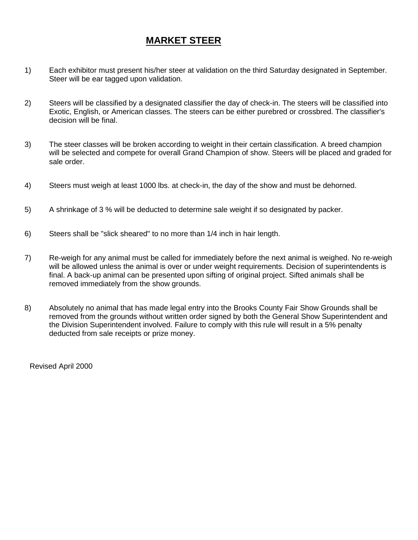# **MARKET STEER**

- 1) Each exhibitor must present his/her steer at validation on the third Saturday designated in September. Steer will be ear tagged upon validation.
- 2) Steers will be classified by a designated classifier the day of check-in. The steers will be classified into Exotic, English, or American classes. The steers can be either purebred or crossbred. The classifier's decision will be final.
- 3) The steer classes will be broken according to weight in their certain classification. A breed champion will be selected and compete for overall Grand Champion of show. Steers will be placed and graded for sale order.
- 4) Steers must weigh at least 1000 lbs. at check-in, the day of the show and must be dehorned.
- 5) A shrinkage of 3 % will be deducted to determine sale weight if so designated by packer.
- 6) Steers shall be "slick sheared" to no more than 1/4 inch in hair length.
- 7) Re-weigh for any animal must be called for immediately before the next animal is weighed. No re-weigh will be allowed unless the animal is over or under weight requirements. Decision of superintendents is final. A back-up animal can be presented upon sifting of original project. Sifted animals shall be removed immediately from the show grounds.
- 8) Absolutely no animal that has made legal entry into the Brooks County Fair Show Grounds shall be removed from the grounds without written order signed by both the General Show Superintendent and the Division Superintendent involved. Failure to comply with this rule will result in a 5% penalty deducted from sale receipts or prize money.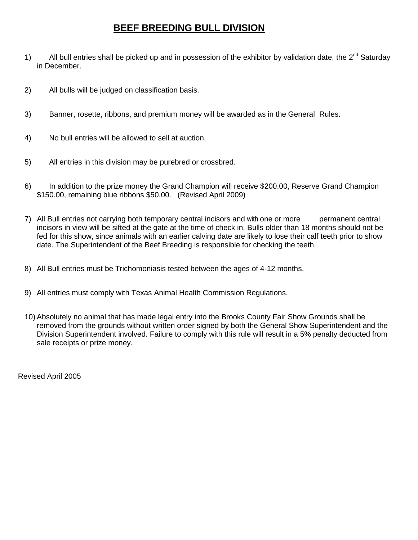# **BEEF BREEDING BULL DIVISION**

- 1) All bull entries shall be picked up and in possession of the exhibitor by validation date, the  $2^{nd}$  Saturday in December.
- 2) All bulls will be judged on classification basis.
- 3) Banner, rosette, ribbons, and premium money will be awarded as in the General Rules.
- 4) No bull entries will be allowed to sell at auction.
- 5) All entries in this division may be purebred or crossbred.
- 6) In addition to the prize money the Grand Champion will receive \$200.00, Reserve Grand Champion \$150.00, remaining blue ribbons \$50.00. (Revised April 2009)
- 7) All Bull entries not carrying both temporary central incisors and with one or more permanent central incisors in view will be sifted at the gate at the time of check in. Bulls older than 18 months should not be fed for this show, since animals with an earlier calving date are likely to lose their calf teeth prior to show date. The Superintendent of the Beef Breeding is responsible for checking the teeth.
- 8) All Bull entries must be Trichomoniasis tested between the ages of 4-12 months.
- 9) All entries must comply with Texas Animal Health Commission Regulations.
- 10) Absolutely no animal that has made legal entry into the Brooks County Fair Show Grounds shall be removed from the grounds without written order signed by both the General Show Superintendent and the Division Superintendent involved. Failure to comply with this rule will result in a 5% penalty deducted from sale receipts or prize money.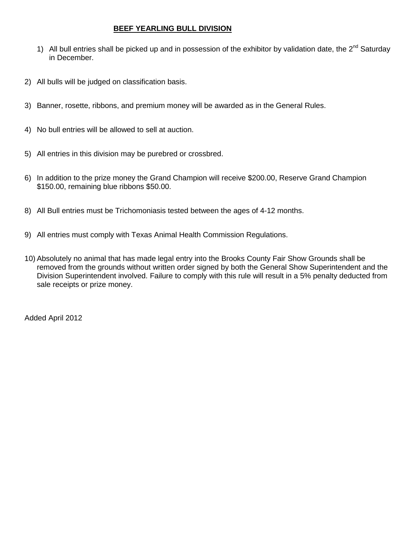#### **BEEF YEARLING BULL DIVISION**

- 1) All bull entries shall be picked up and in possession of the exhibitor by validation date, the  $2^{nd}$  Saturday in December.
- 2) All bulls will be judged on classification basis.
- 3) Banner, rosette, ribbons, and premium money will be awarded as in the General Rules.
- 4) No bull entries will be allowed to sell at auction.
- 5) All entries in this division may be purebred or crossbred.
- 6) In addition to the prize money the Grand Champion will receive \$200.00, Reserve Grand Champion \$150.00, remaining blue ribbons \$50.00.
- 8) All Bull entries must be Trichomoniasis tested between the ages of 4-12 months.
- 9) All entries must comply with Texas Animal Health Commission Regulations.
- 10) Absolutely no animal that has made legal entry into the Brooks County Fair Show Grounds shall be removed from the grounds without written order signed by both the General Show Superintendent and the Division Superintendent involved. Failure to comply with this rule will result in a 5% penalty deducted from sale receipts or prize money.

Added April 2012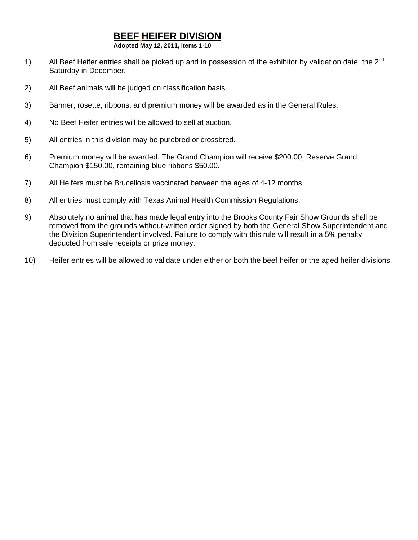# **BEEF HEIFER DIVISION**

**Adopted May 12, 2011, items 1-10**

- 1) All Beef Heifer entries shall be picked up and in possession of the exhibitor by validation date, the  $2^{nd}$ Saturday in December.
- 2) All Beef animals will be judged on classification basis.
- 3) Banner, rosette, ribbons, and premium money will be awarded as in the General Rules.
- 4) No Beef Heifer entries will be allowed to sell at auction.
- 5) All entries in this division may be purebred or crossbred.
- 6) Premium money will be awarded. The Grand Champion will receive \$200.00, Reserve Grand Champion \$150.00, remaining blue ribbons \$50.00.
- 7) All Heifers must be Brucellosis vaccinated between the ages of 4-12 months.
- 8) All entries must comply with Texas Animal Health Commission Regulations.
- 9) Absolutely no animal that has made legal entry into the Brooks County Fair Show Grounds shall be removed from the grounds without-written order signed by both the General Show Superintendent and the Division Superintendent involved. Failure to comply with this rule will result in a 5% penalty deducted from sale receipts or prize money.
- 10) Heifer entries will be allowed to validate under either or both the beef heifer or the aged heifer divisions.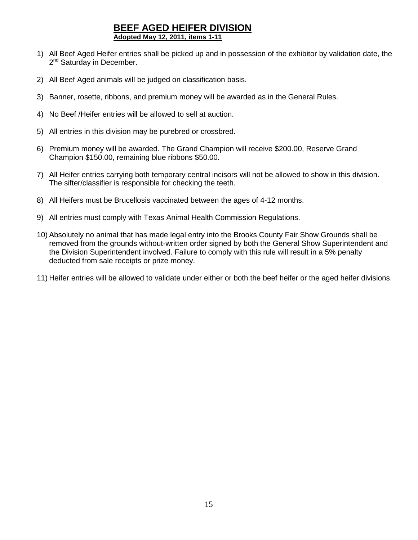## **BEEF AGED HEIFER DIVISION Adopted May 12, 2011, items 1-11**

- 1) All Beef Aged Heifer entries shall be picked up and in possession of the exhibitor by validation date, the 2<sup>nd</sup> Saturday in December.
- 2) All Beef Aged animals will be judged on classification basis.
- 3) Banner, rosette, ribbons, and premium money will be awarded as in the General Rules.
- 4) No Beef /Heifer entries will be allowed to sell at auction.
- 5) All entries in this division may be purebred or crossbred.
- 6) Premium money will be awarded. The Grand Champion will receive \$200.00, Reserve Grand Champion \$150.00, remaining blue ribbons \$50.00.
- 7) All Heifer entries carrying both temporary central incisors will not be allowed to show in this division. The sifter/classifier is responsible for checking the teeth.
- 8) All Heifers must be Brucellosis vaccinated between the ages of 4-12 months.
- 9) All entries must comply with Texas Animal Health Commission Regulations.
- 10) Absolutely no animal that has made legal entry into the Brooks County Fair Show Grounds shall be removed from the grounds without-written order signed by both the General Show Superintendent and the Division Superintendent involved. Failure to comply with this rule will result in a 5% penalty deducted from sale receipts or prize money.
- 11) Heifer entries will be allowed to validate under either or both the beef heifer or the aged heifer divisions.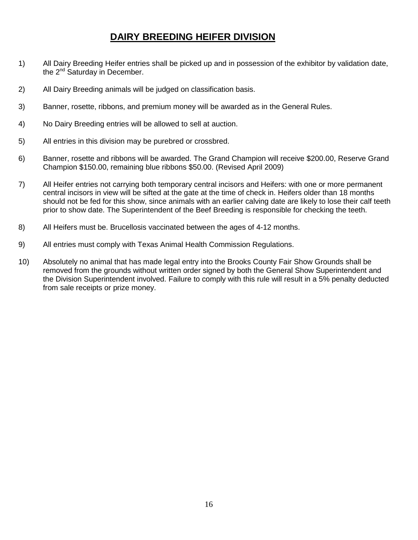# **DAIRY BREEDING HEIFER DIVISION**

- 1) All Dairy Breeding Heifer entries shall be picked up and in possession of the exhibitor by validation date, the 2<sup>nd</sup> Saturday in December.
- 2) All Dairy Breeding animals will be judged on classification basis.
- 3) Banner, rosette, ribbons, and premium money will be awarded as in the General Rules.
- 4) No Dairy Breeding entries will be allowed to sell at auction.
- 5) All entries in this division may be purebred or crossbred.
- 6) Banner, rosette and ribbons will be awarded. The Grand Champion will receive \$200.00, Reserve Grand Champion \$150.00, remaining blue ribbons \$50.00. (Revised April 2009)
- 7) All Heifer entries not carrying both temporary central incisors and Heifers: with one or more permanent central incisors in view will be sifted at the gate at the time of check in. Heifers older than 18 months should not be fed for this show, since animals with an earlier calving date are likely to lose their calf teeth prior to show date. The Superintendent of the Beef Breeding is responsible for checking the teeth.
- 8) All Heifers must be. Brucellosis vaccinated between the ages of 4-12 months.
- 9) All entries must comply with Texas Animal Health Commission Regulations.
- 10) Absolutely no animal that has made legal entry into the Brooks County Fair Show Grounds shall be removed from the grounds without written order signed by both the General Show Superintendent and the Division Superintendent involved. Failure to comply with this rule will result in a 5% penalty deducted from sale receipts or prize money.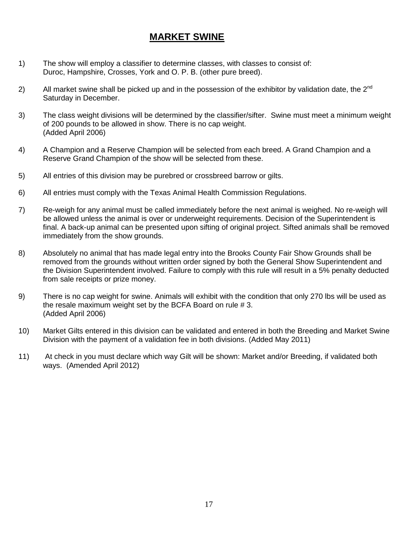# **MARKET SWINE**

- 1) The show will employ a classifier to determine classes, with classes to consist of: Duroc, Hampshire, Crosses, York and O. P. B. (other pure breed).
- 2) All market swine shall be picked up and in the possession of the exhibitor by validation date, the  $2^{nd}$ Saturday in December.
- 3) The class weight divisions will be determined by the classifier/sifter. Swine must meet a minimum weight of 200 pounds to be allowed in show. There is no cap weight. (Added April 2006)
- 4) A Champion and a Reserve Champion will be selected from each breed. A Grand Champion and a Reserve Grand Champion of the show will be selected from these.
- 5) All entries of this division may be purebred or crossbreed barrow or gilts.
- 6) All entries must comply with the Texas Animal Health Commission Regulations.
- 7) Re-weigh for any animal must be called immediately before the next animal is weighed. No re-weigh will be allowed unless the animal is over or underweight requirements. Decision of the Superintendent is final. A back-up animal can be presented upon sifting of original project. Sifted animals shall be removed immediately from the show grounds.
- 8) Absolutely no animal that has made legal entry into the Brooks County Fair Show Grounds shall be removed from the grounds without written order signed by both the General Show Superintendent and the Division Superintendent involved. Failure to comply with this rule will result in a 5% penalty deducted from sale receipts or prize money.
- 9) There is no cap weight for swine. Animals will exhibit with the condition that only 270 lbs will be used as the resale maximum weight set by the BCFA Board on rule # 3. (Added April 2006)
- 10) Market Gilts entered in this division can be validated and entered in both the Breeding and Market Swine Division with the payment of a validation fee in both divisions. (Added May 2011)
- 11) At check in you must declare which way Gilt will be shown: Market and/or Breeding, if validated both ways. (Amended April 2012)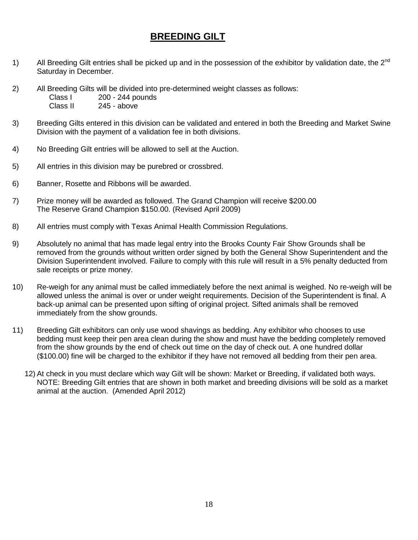# **BREEDING GILT**

- 1) All Breeding Gilt entries shall be picked up and in the possession of the exhibitor by validation date, the 2<sup>nd</sup> Saturday in December.
- 2) All Breeding Gilts will be divided into pre-determined weight classes as follows:<br>Class I 200 244 pounds Class I 200 - 244 pounds<br>Class II 245 - above  $245 - above$
- 3) Breeding Gilts entered in this division can be validated and entered in both the Breeding and Market Swine Division with the payment of a validation fee in both divisions.
- 4) No Breeding Gilt entries will be allowed to sell at the Auction.
- 5) All entries in this division may be purebred or crossbred.
- 6) Banner, Rosette and Ribbons will be awarded.
- 7) Prize money will be awarded as followed. The Grand Champion will receive \$200.00 The Reserve Grand Champion \$150.00. (Revised April 2009)
- 8) All entries must comply with Texas Animal Health Commission Regulations.
- 9) Absolutely no animal that has made legal entry into the Brooks County Fair Show Grounds shall be removed from the grounds without written order signed by both the General Show Superintendent and the Division Superintendent involved. Failure to comply with this rule will result in a 5% penalty deducted from sale receipts or prize money.
- 10) Re-weigh for any animal must be called immediately before the next animal is weighed. No re-weigh will be allowed unless the animal is over or under weight requirements. Decision of the Superintendent is final. A back-up animal can be presented upon sifting of original project. Sifted animals shall be removed immediately from the show grounds.
- 11) Breeding Gilt exhibitors can only use wood shavings as bedding. Any exhibitor who chooses to use bedding must keep their pen area clean during the show and must have the bedding completely removed from the show grounds by the end of check out time on the day of check out. A one hundred dollar (\$100.00) fine will be charged to the exhibitor if they have not removed all bedding from their pen area.
	- 12) At check in you must declare which way Gilt will be shown: Market or Breeding, if validated both ways. NOTE: Breeding Gilt entries that are shown in both market and breeding divisions will be sold as a market animal at the auction. (Amended April 2012)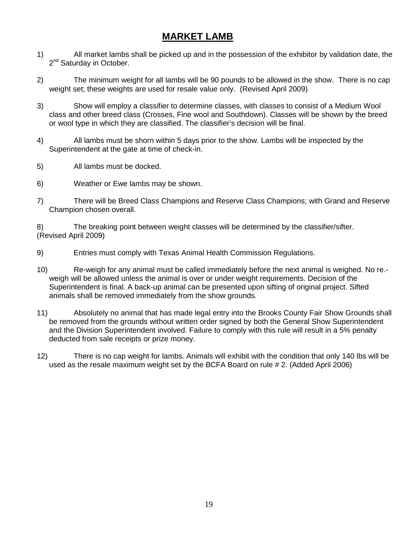# **MARKET LAMB**

- 1) All market lambs shall be picked up and in the possession of the exhibitor by validation date, the 2<sup>nd</sup> Saturday in October.
- 2) The minimum weight for all lambs will be 90 pounds to be allowed in the show. There is no cap weight set; these weights are used for resale value only. (Revised April 2009)
- 3) Show will employ a classifier to determine classes, with classes to consist of a Medium Wool class and other breed class (Crosses, Fine wool and Southdown). Classes will be shown by the breed or wool type in which they are classified. The classifier's decision will be final.
- 4) All lambs must be shorn within 5 days prior to the show. Lambs will be inspected by the Superintendent at the gate at time of check-in.
- 5) All lambs must be docked.
- 6) Weather or Ewe lambs may be shown.
- 7) There will be Breed Class Champions and Reserve Class Champions; with Grand and Reserve Champion chosen overall.

8) The breaking point between weight classes will be determined by the classifier/sifter. (Revised April 2009)

- 9) Entries must comply with Texas Animal Health Commission Regulations.
- 10) Re-weigh for any animal must be called immediately before the next animal is weighed. No re. weigh will be allowed unless the animal is over or under weight requirements. Decision of the Superintendent is final. A back-up animal can be presented upon sifting of original project. Sifted animals shall be removed immediately from the show grounds.
- 11) Absolutely no animal that has made legal entry into the Brooks County Fair Show Grounds shall be removed from the grounds without written order signed by both the General Show Superintendent and the Division Superintendent involved. Failure to comply with this rule will result in a 5% penalty deducted from sale receipts or prize money.
- 12) There is no cap weight for lambs. Animals will exhibit with the condition that only 140 lbs will be used as the resale maximum weight set by the BCFA Board on rule # 2. (Added April 2006)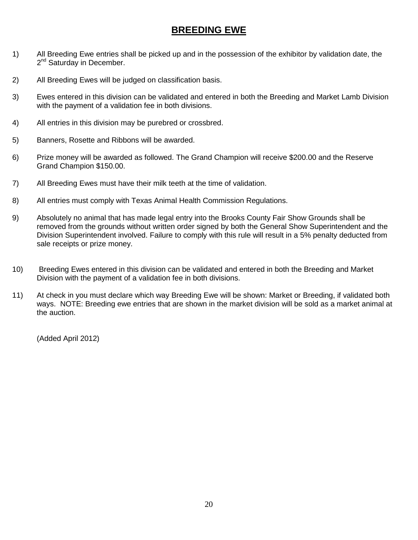# **BREEDING EWE**

- 1) All Breeding Ewe entries shall be picked up and in the possession of the exhibitor by validation date, the 2<sup>nd</sup> Saturday in December.
- 2) All Breeding Ewes will be judged on classification basis.
- 3) Ewes entered in this division can be validated and entered in both the Breeding and Market Lamb Division with the payment of a validation fee in both divisions.
- 4) All entries in this division may be purebred or crossbred.
- 5) Banners, Rosette and Ribbons will be awarded.
- 6) Prize money will be awarded as followed. The Grand Champion will receive \$200.00 and the Reserve Grand Champion \$150.00.
- 7) All Breeding Ewes must have their milk teeth at the time of validation.
- 8) All entries must comply with Texas Animal Health Commission Regulations.
- 9) Absolutely no animal that has made legal entry into the Brooks County Fair Show Grounds shall be removed from the grounds without written order signed by both the General Show Superintendent and the Division Superintendent involved. Failure to comply with this rule will result in a 5% penalty deducted from sale receipts or prize money.
- 10) Breeding Ewes entered in this division can be validated and entered in both the Breeding and Market Division with the payment of a validation fee in both divisions.
- 11) At check in you must declare which way Breeding Ewe will be shown: Market or Breeding, if validated both ways. NOTE: Breeding ewe entries that are shown in the market division will be sold as a market animal at the auction.

(Added April 2012)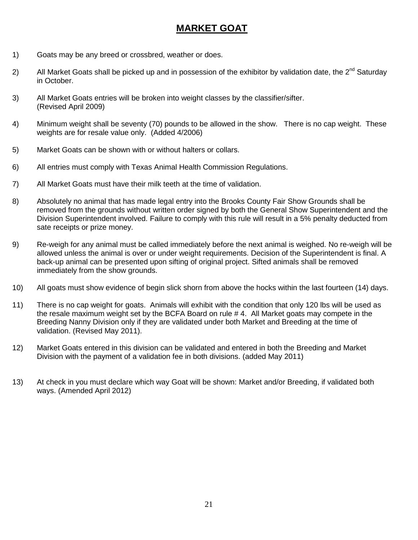# **MARKET GOAT**

- 1) Goats may be any breed or crossbred, weather or does.
- 2) All Market Goats shall be picked up and in possession of the exhibitor by validation date, the  $2^{nd}$  Saturday in October.
- 3) All Market Goats entries will be broken into weight classes by the classifier/sifter. (Revised April 2009)
- 4) Minimum weight shall be seventy (70) pounds to be allowed in the show. There is no cap weight. These weights are for resale value only. (Added 4/2006)
- 5) Market Goats can be shown with or without halters or collars.
- 6) All entries must comply with Texas Animal Health Commission Regulations.
- 7) All Market Goats must have their milk teeth at the time of validation.
- 8) Absolutely no animal that has made legal entry into the Brooks County Fair Show Grounds shall be removed from the grounds without written order signed by both the General Show Superintendent and the Division Superintendent involved. Failure to comply with this rule will result in a 5% penalty deducted from sate receipts or prize money.
- 9) Re-weigh for any animal must be called immediately before the next animal is weighed. No re-weigh will be allowed unless the animal is over or under weight requirements. Decision of the Superintendent is final. A back-up animal can be presented upon sifting of original project. Sifted animals shall be removed immediately from the show grounds.
- 10) All goats must show evidence of begin slick shorn from above the hocks within the last fourteen (14) days.
- 11) There is no cap weight for goats. Animals will exhibit with the condition that only 120 lbs will be used as the resale maximum weight set by the BCFA Board on rule # 4. All Market goats may compete in the Breeding Nanny Division only if they are validated under both Market and Breeding at the time of validation. (Revised May 2011).
- 12) Market Goats entered in this division can be validated and entered in both the Breeding and Market Division with the payment of a validation fee in both divisions. (added May 2011)
- 13) At check in you must declare which way Goat will be shown: Market and/or Breeding, if validated both ways. (Amended April 2012)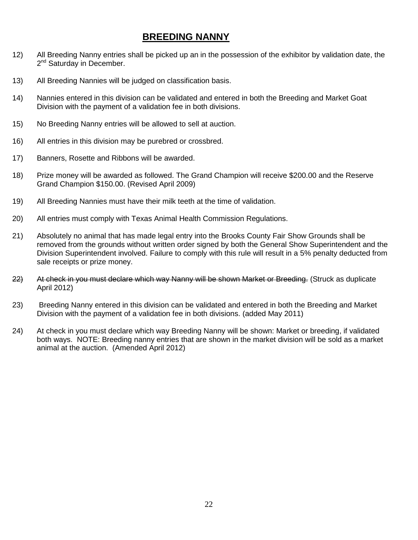# **BREEDING NANNY**

- 12) All Breeding Nanny entries shall be picked up an in the possession of the exhibitor by validation date, the 2<sup>nd</sup> Saturday in December.
- 13) All Breeding Nannies will be judged on classification basis.
- 14) Nannies entered in this division can be validated and entered in both the Breeding and Market Goat Division with the payment of a validation fee in both divisions.
- 15) No Breeding Nanny entries will be allowed to sell at auction.
- 16) All entries in this division may be purebred or crossbred.
- 17) Banners, Rosette and Ribbons will be awarded.
- 18) Prize money will be awarded as followed. The Grand Champion will receive \$200.00 and the Reserve Grand Champion \$150.00. (Revised April 2009)
- 19) All Breeding Nannies must have their milk teeth at the time of validation.
- 20) All entries must comply with Texas Animal Health Commission Regulations.
- 21) Absolutely no animal that has made legal entry into the Brooks County Fair Show Grounds shall be removed from the grounds without written order signed by both the General Show Superintendent and the Division Superintendent involved. Failure to comply with this rule will result in a 5% penalty deducted from sale receipts or prize money.
- 22) At check in you must declare which way Nanny will be shown Market or Breeding. (Struck as duplicate April 2012)
- 23) Breeding Nanny entered in this division can be validated and entered in both the Breeding and Market Division with the payment of a validation fee in both divisions. (added May 2011)
- 24) At check in you must declare which way Breeding Nanny will be shown: Market or breeding, if validated both ways. NOTE: Breeding nanny entries that are shown in the market division will be sold as a market animal at the auction. (Amended April 2012)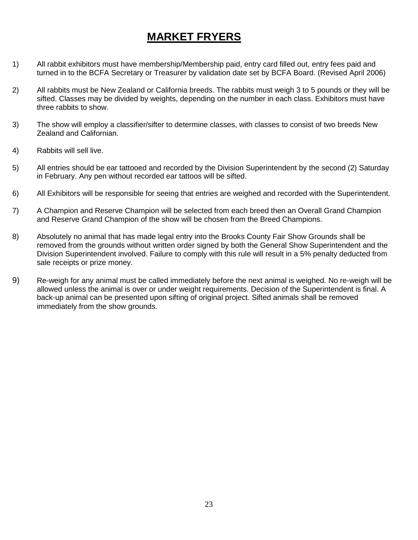# **MARKET FRYERS**

- 1) All rabbit exhibitors must have membership/Membership paid, entry card filled out, entry fees paid and turned in to the BCFA Secretary or Treasurer by validation date set by BCFA Board. (Revised April 2006)
- 2) All rabbits must be New Zealand or California breeds. The rabbits must weigh 3 to 5 pounds or they will be sifted. Classes may be divided by weights, depending on the number in each class. Exhibitors must have three rabbits to show.
- 3) The show will employ a classifier/sifter to determine classes, with classes to consist of two breeds New Zealand and Californian.
- 4) Rabbits will sell live.
- 5) All entries should be ear tattooed and recorded by the Division Superintendent by the second (2) Saturday in February. Any pen without recorded ear tattoos will be sifted.
- 6) All Exhibitors will be responsible for seeing that entries are weighed and recorded with the Superintendent.
- 7) A Champion and Reserve Champion will be selected from each breed then an Overall Grand Champion and Reserve Grand Champion of the show will be chosen from the Breed Champions.
- 8) Absolutely no animal that has made legal entry into the Brooks County Fair Show Grounds shall be removed from the grounds without written order signed by both the General Show Superintendent and the Division Superintendent involved. Failure to comply with this rule will result in a 5% penalty deducted from sale receipts or prize money.
- 9) Re-weigh for any animal must be called immediately before the next animal is weighed. No re-weigh will be allowed unless the animal is over or under weight requirements. Decision of the Superintendent is final. A back-up animal can be presented upon sifting of original project. Sifted animals shall be removed immediately from the show grounds.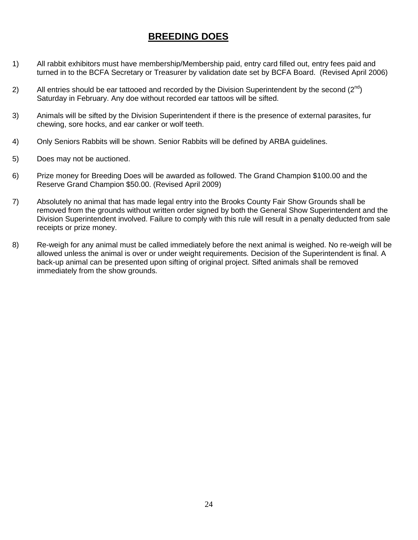# **BREEDING DOES**

- 1) All rabbit exhibitors must have membership/Membership paid, entry card filled out, entry fees paid and turned in to the BCFA Secretary or Treasurer by validation date set by BCFA Board. (Revised April 2006)
- 2) All entries should be ear tattooed and recorded by the Division Superintendent by the second  $(2^{nd})$ Saturday in February. Any doe without recorded ear tattoos will be sifted.
- 3) Animals will be sifted by the Division Superintendent if there is the presence of external parasites, fur chewing, sore hocks, and ear canker or wolf teeth.
- 4) Only Seniors Rabbits will be shown. Senior Rabbits will be defined by ARBA guidelines.
- 5) Does may not be auctioned.
- 6) Prize money for Breeding Does will be awarded as followed. The Grand Champion \$100.00 and the Reserve Grand Champion \$50.00. (Revised April 2009)
- 7) Absolutely no animal that has made legal entry into the Brooks County Fair Show Grounds shall be removed from the grounds without written order signed by both the General Show Superintendent and the Division Superintendent involved. Failure to comply with this rule will result in a penalty deducted from sale receipts or prize money.
- 8) Re-weigh for any animal must be called immediately before the next animal is weighed. No re-weigh will be allowed unless the animal is over or under weight requirements. Decision of the Superintendent is final. A back-up animal can be presented upon sifting of original project. Sifted animals shall be removed immediately from the show grounds.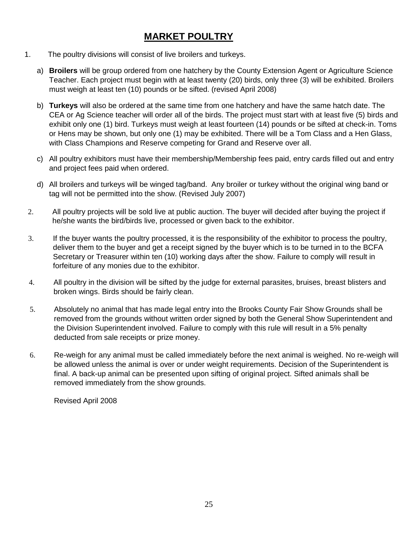# **MARKET POULTRY**

- 1. The poultry divisions will consist of live broilers and turkeys.
	- a) **Broilers** will be group ordered from one hatchery by the County Extension Agent or Agriculture Science Teacher. Each project must begin with at least twenty (20) birds, only three (3) will be exhibited. Broilers must weigh at least ten (10) pounds or be sifted. (revised April 2008)
	- b) **Turkeys** will also be ordered at the same time from one hatchery and have the same hatch date. The CEA or Ag Science teacher will order all of the birds. The project must start with at least five (5) birds and exhibit only one (1) bird. Turkeys must weigh at least fourteen (14) pounds or be sifted at check-in. Toms or Hens may be shown, but only one (1) may be exhibited. There will be a Tom Class and a Hen Glass, with Class Champions and Reserve competing for Grand and Reserve over all.
	- c) All poultry exhibitors must have their membership/Membership fees paid, entry cards filled out and entry and project fees paid when ordered.
	- d) All broilers and turkeys will be winged tag/band. Any broiler or turkey without the original wing band or tag will not be permitted into the show. (Revised July 2007)
- 2. All poultry projects will be sold live at public auction. The buyer will decided after buying the project if he/she wants the bird/birds live, processed or given back to the exhibitor.
- 3. If the buyer wants the poultry processed, it is the responsibility of the exhibitor to process the poultry, deliver them to the buyer and get a receipt signed by the buyer which is to be turned in to the BCFA Secretary or Treasurer within ten (10) working days after the show. Failure to comply will result in forfeiture of any monies due to the exhibitor.
- 4. All poultry in the division will be sifted by the judge for external parasites, bruises, breast blisters and broken wings. Birds should be fairly clean.
- 5. Absolutely no animal that has made legal entry into the Brooks County Fair Show Grounds shall be removed from the grounds without written order signed by both the General Show Superintendent and the Division Superintendent involved. Failure to comply with this rule will result in a 5% penalty deducted from sale receipts or prize money.
- 6. Re-weigh for any animal must be called immediately before the next animal is weighed. No re-weigh will be allowed unless the animal is over or under weight requirements. Decision of the Superintendent is final. A back-up animal can be presented upon sifting of original project. Sifted animals shall be removed immediately from the show grounds.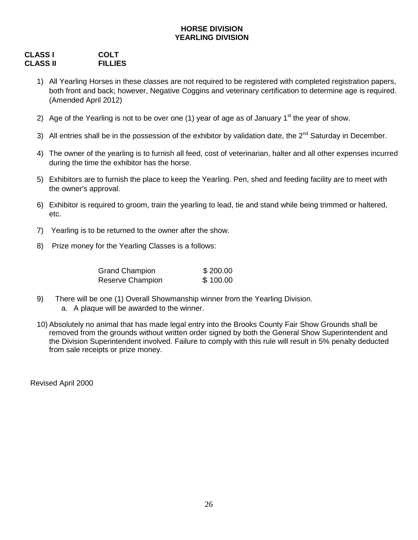### **HORSE DIVISION YEARLING DIVISION**

## **CLASS I COLT CLASS II**

- 1) All Yearling Horses in these classes are not required to be registered with completed registration papers, both front and back; however, Negative Coggins and veterinary certification to determine age is required. (Amended April 2012)
- 2) Age of the Yearling is not to be over one (1) year of age as of January  $1<sup>st</sup>$  the year of show.
- 3) All entries shall be in the possession of the exhibitor by validation date, the  $2^{nd}$  Saturday in December.
- 4) The owner of the yearling is to furnish all feed, cost of veterinarian, halter and all other expenses incurred during the time the exhibitor has the horse.
- 5) Exhibitors are to furnish the place to keep the Yearling. Pen, shed and feeding facility are to meet with the owner's approval.
- 6) Exhibitor is required to groom, train the yearling to lead, tie and stand while being trimmed or haltered, etc.
- 7) Yearling is to be returned to the owner after the show.
- 8) Prize money for the Yearling Classes is a follows:

| <b>Grand Champion</b> | \$200.00 |
|-----------------------|----------|
| Reserve Champion      | \$100.00 |

- 9) There will be one (1) Overall Showmanship winner from the Yearling Division. a. A plaque will be awarded to the winner.
- 10) Absolutely no animal that has made legal entry into the Brooks County Fair Show Grounds shall be removed from the grounds without written order signed by both the General Show Superintendent and the Division Superintendent involved. Failure to comply with this rule will result in 5% penalty deducted from sale receipts or prize money.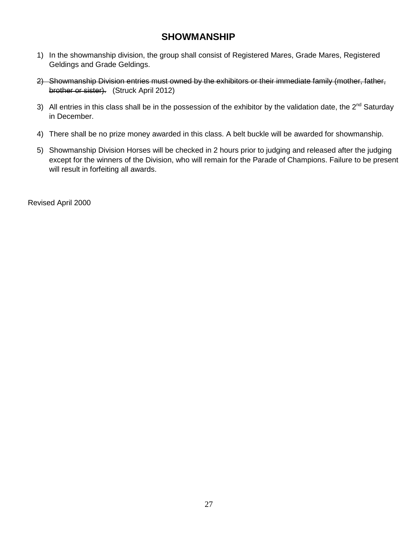# **SHOWMANSHIP**

- 1) In the showmanship division, the group shall consist of Registered Mares, Grade Mares, Registered Geldings and Grade Geldings.
- 2) Showmanship Division entries must owned by the exhibitors or their immediate family (mother, father, brother or sister). (Struck April 2012)
- 3) All entries in this class shall be in the possession of the exhibitor by the validation date, the  $2^{nd}$  Saturday in December.
- 4) There shall be no prize money awarded in this class. A belt buckle will be awarded for showmanship.
- 5) Showmanship Division Horses will be checked in 2 hours prior to judging and released after the judging except for the winners of the Division, who will remain for the Parade of Champions. Failure to be present will result in forfeiting all awards.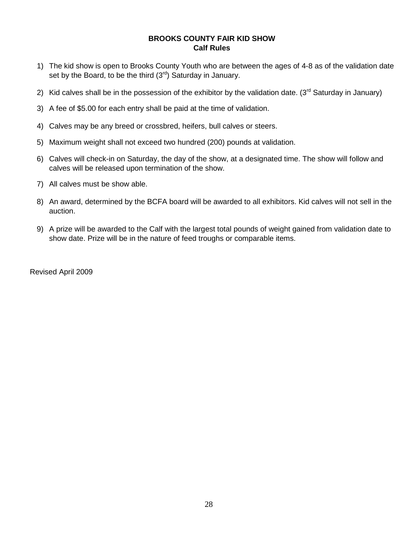#### **BROOKS COUNTY FAIR KID SHOW Calf Rules**

- 1) The kid show is open to Brooks County Youth who are between the ages of 4-8 as of the validation date set by the Board, to be the third  $(3<sup>rd</sup>)$  Saturday in January.
- 2) Kid calves shall be in the possession of the exhibitor by the validation date. ( $3<sup>rd</sup>$  Saturday in January)
- 3) A fee of \$5.00 for each entry shall be paid at the time of validation.
- 4) Calves may be any breed or crossbred, heifers, bull calves or steers.
- 5) Maximum weight shall not exceed two hundred (200) pounds at validation.
- 6) Calves will check-in on Saturday, the day of the show, at a designated time. The show will follow and calves will be released upon termination of the show.
- 7) All calves must be show able.
- 8) An award, determined by the BCFA board will be awarded to all exhibitors. Kid calves will not sell in the auction.
- 9) A prize will be awarded to the Calf with the largest total pounds of weight gained from validation date to show date. Prize will be in the nature of feed troughs or comparable items.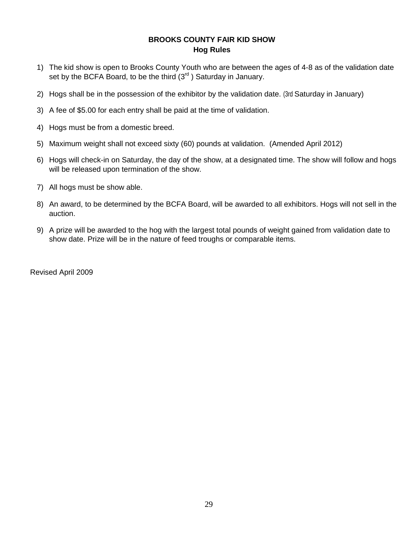#### **BROOKS COUNTY FAIR KID SHOW Hog Rules**

- 1) The kid show is open to Brooks County Youth who are between the ages of 4-8 as of the validation date set by the BCFA Board, to be the third  $(3<sup>rd</sup>)$  Saturday in January.
- 2) Hogs shall be in the possession of the exhibitor by the validation date. (3rd Saturday in January)
- 3) A fee of \$5.00 for each entry shall be paid at the time of validation.
- 4) Hogs must be from a domestic breed.
- 5) Maximum weight shall not exceed sixty (60) pounds at validation. (Amended April 2012)
- 6) Hogs will check-in on Saturday, the day of the show, at a designated time. The show will follow and hogs will be released upon termination of the show.
- 7) All hogs must be show able.
- 8) An award, to be determined by the BCFA Board, will be awarded to all exhibitors. Hogs will not sell in the auction.
- 9) A prize will be awarded to the hog with the largest total pounds of weight gained from validation date to show date. Prize will be in the nature of feed troughs or comparable items.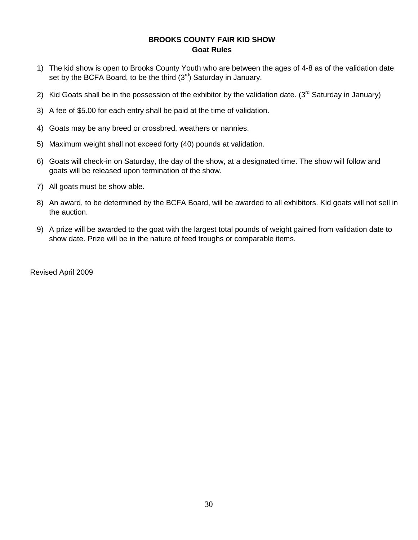#### **BROOKS COUNTY FAIR KID SHOW Goat Rules**

- 1) The kid show is open to Brooks County Youth who are between the ages of 4-8 as of the validation date set by the BCFA Board, to be the third  $(3<sup>rd</sup>)$  Saturday in January.
- 2) Kid Goats shall be in the possession of the exhibitor by the validation date. ( $3<sup>rd</sup>$  Saturday in January)
- 3) A fee of \$5.00 for each entry shall be paid at the time of validation.
- 4) Goats may be any breed or crossbred, weathers or nannies.
- 5) Maximum weight shall not exceed forty (40) pounds at validation.
- 6) Goats will check-in on Saturday, the day of the show, at a designated time. The show will follow and goats will be released upon termination of the show.
- 7) All goats must be show able.
- 8) An award, to be determined by the BCFA Board, will be awarded to all exhibitors. Kid goats will not sell in the auction.
- 9) A prize will be awarded to the goat with the largest total pounds of weight gained from validation date to show date. Prize will be in the nature of feed troughs or comparable items.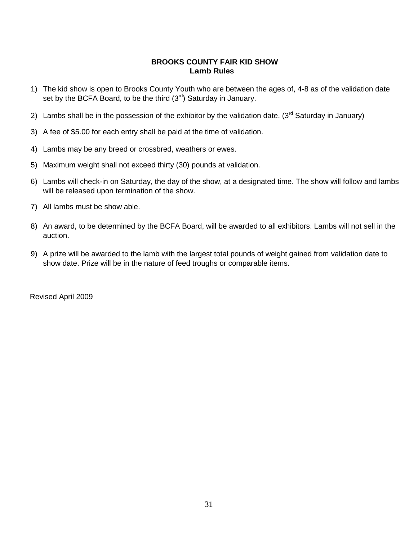#### **BROOKS COUNTY FAIR KID SHOW Lamb Rules**

- 1) The kid show is open to Brooks County Youth who are between the ages of, 4-8 as of the validation date set by the BCFA Board, to be the third  $(3<sup>rd</sup>)$  Saturday in January.
- 2) Lambs shall be in the possession of the exhibitor by the validation date. ( $3<sup>rd</sup>$  Saturday in January)
- 3) A fee of \$5.00 for each entry shall be paid at the time of validation.
- 4) Lambs may be any breed or crossbred, weathers or ewes.
- 5) Maximum weight shall not exceed thirty (30) pounds at validation.
- 6) Lambs will check-in on Saturday, the day of the show, at a designated time. The show will follow and lambs will be released upon termination of the show.
- 7) All lambs must be show able.
- 8) An award, to be determined by the BCFA Board, will be awarded to all exhibitors. Lambs will not sell in the auction.
- 9) A prize will be awarded to the lamb with the largest total pounds of weight gained from validation date to show date. Prize will be in the nature of feed troughs or comparable items.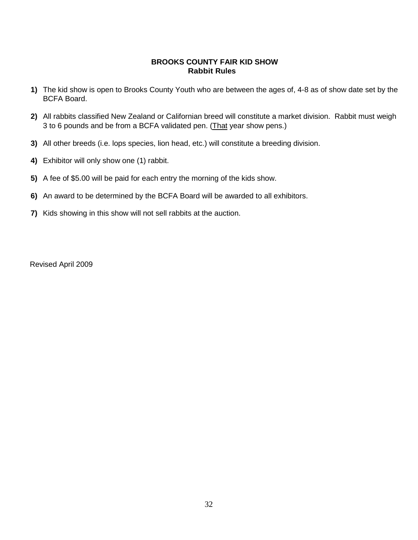#### **BROOKS COUNTY FAIR KID SHOW Rabbit Rules**

- **1)** The kid show is open to Brooks County Youth who are between the ages of, 4-8 as of show date set by the BCFA Board.
- **2)** All rabbits classified New Zealand or Californian breed will constitute a market division. Rabbit must weigh 3 to 6 pounds and be from a BCFA validated pen. (That year show pens.)
- **3)** All other breeds (i.e. lops species, lion head, etc.) will constitute a breeding division.
- **4)** Exhibitor will only show one (1) rabbit.
- **5)** A fee of \$5.00 will be paid for each entry the morning of the kids show.
- **6)** An award to be determined by the BCFA Board will be awarded to all exhibitors.
- **7)** Kids showing in this show will not sell rabbits at the auction.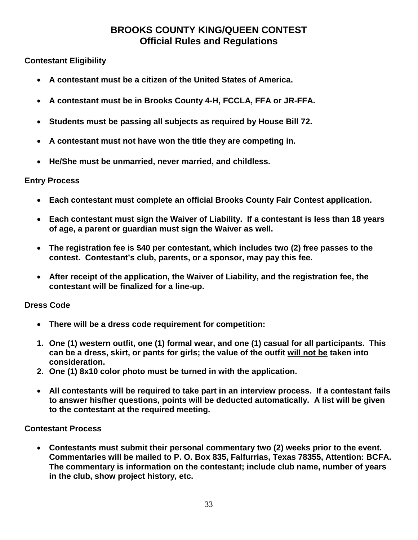# **BROOKS COUNTY KING/QUEEN CONTEST Official Rules and Regulations**

# **Contestant Eligibility**

- **A contestant must be a citizen of the United States of America.**
- **A contestant must be in Brooks County 4-H, FCCLA, FFA or JR-FFA.**
- **Students must be passing all subjects as required by House Bill 72.**
- **A contestant must not have won the title they are competing in.**
- **He/She must be unmarried, never married, and childless.**

## **Entry Process**

- **Each contestant must complete an official Brooks County Fair Contest application.**
- **Each contestant must sign the Waiver of Liability. If a contestant is less than 18 years of age, a parent or guardian must sign the Waiver as well.**
- **The registration fee is \$40 per contestant, which includes two (2) free passes to the contest. Contestant's club, parents, or a sponsor, may pay this fee.**
- **After receipt of the application, the Waiver of Liability, and the registration fee, the contestant will be finalized for a line-up.**

## **Dress Code**

- **There will be a dress code requirement for competition:**
- **1. One (1) western outfit, one (1) formal wear, and one (1) casual for all participants. This can be a dress, skirt, or pants for girls; the value of the outfit will not be taken into consideration.**
- **2. One (1) 8x10 color photo must be turned in with the application.**
- **All contestants will be required to take part in an interview process. If a contestant fails to answer his/her questions, points will be deducted automatically. A list will be given to the contestant at the required meeting.**

## **Contestant Process**

• **Contestants must submit their personal commentary two (2) weeks prior to the event. Commentaries will be mailed to P. O. Box 835, Falfurrias, Texas 78355, Attention: BCFA. The commentary is information on the contestant; include club name, number of years in the club, show project history, etc.**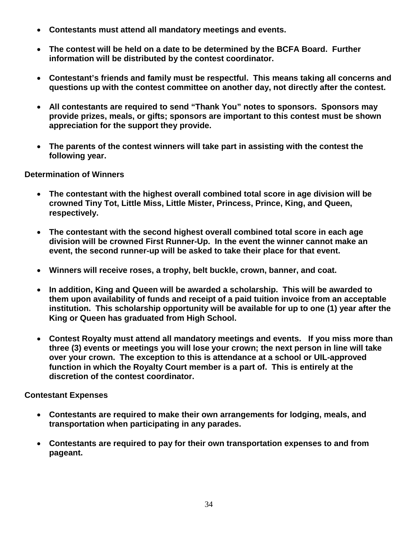- **Contestants must attend all mandatory meetings and events.**
- **The contest will be held on a date to be determined by the BCFA Board. Further information will be distributed by the contest coordinator.**
- **Contestant's friends and family must be respectful. This means taking all concerns and questions up with the contest committee on another day, not directly after the contest.**
- **All contestants are required to send "Thank You" notes to sponsors. Sponsors may provide prizes, meals, or gifts; sponsors are important to this contest must be shown appreciation for the support they provide.**
- **The parents of the contest winners will take part in assisting with the contest the following year.**

**Determination of Winners**

- **The contestant with the highest overall combined total score in age division will be crowned Tiny Tot, Little Miss, Little Mister, Princess, Prince, King, and Queen, respectively.**
- **The contestant with the second highest overall combined total score in each age division will be crowned First Runner-Up. In the event the winner cannot make an event, the second runner-up will be asked to take their place for that event.**
- **Winners will receive roses, a trophy, belt buckle, crown, banner, and coat.**
- **In addition, King and Queen will be awarded a scholarship. This will be awarded to them upon availability of funds and receipt of a paid tuition invoice from an acceptable institution. This scholarship opportunity will be available for up to one (1) year after the King or Queen has graduated from High School.**
- **Contest Royalty must attend all mandatory meetings and events. If you miss more than three (3) events or meetings you will lose your crown; the next person in line will take over your crown. The exception to this is attendance at a school or UIL-approved function in which the Royalty Court member is a part of. This is entirely at the discretion of the contest coordinator.**

**Contestant Expenses**

- **Contestants are required to make their own arrangements for lodging, meals, and transportation when participating in any parades.**
- **Contestants are required to pay for their own transportation expenses to and from pageant.**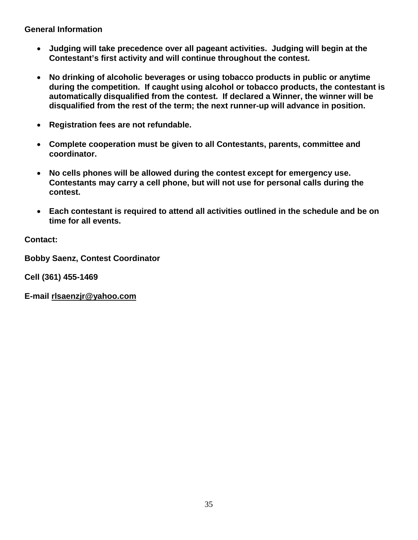**General Information**

- **Judging will take precedence over all pageant activities. Judging will begin at the Contestant's first activity and will continue throughout the contest.**
- **No drinking of alcoholic beverages or using tobacco products in public or anytime during the competition. If caught using alcohol or tobacco products, the contestant is automatically disqualified from the contest. If declared a Winner, the winner will be disqualified from the rest of the term; the next runner-up will advance in position.**
- **Registration fees are not refundable.**
- **Complete cooperation must be given to all Contestants, parents, committee and coordinator.**
- **No cells phones will be allowed during the contest except for emergency use. Contestants may carry a cell phone, but will not use for personal calls during the contest.**
- **Each contestant is required to attend all activities outlined in the schedule and be on time for all events.**

**Contact:**

**Bobby Saenz, Contest Coordinator**

**Cell (361) 455-1469**

**E-mail rlsaenzjr@yahoo.com**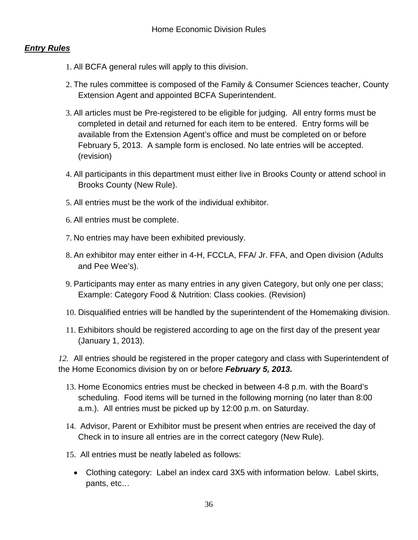# *Entry Rules*

- 1. All BCFA general rules will apply to this division.
- 2. The rules committee is composed of the Family & Consumer Sciences teacher, County Extension Agent and appointed BCFA Superintendent.
- 3. All articles must be Pre-registered to be eligible for judging. All entry forms must be completed in detail and returned for each item to be entered. Entry forms will be available from the Extension Agent's office and must be completed on or before February 5, 2013. A sample form is enclosed. No late entries will be accepted. (revision)
- 4. All participants in this department must either live in Brooks County or attend school in Brooks County (New Rule).
- 5. All entries must be the work of the individual exhibitor.
- 6. All entries must be complete.
- 7. No entries may have been exhibited previously.
- 8. An exhibitor may enter either in 4-H, FCCLA, FFA/ Jr. FFA, and Open division (Adults and Pee Wee's).
- 9. Participants may enter as many entries in any given Category, but only one per class; Example: Category Food & Nutrition: Class cookies. (Revision)
- 10. Disqualified entries will be handled by the superintendent of the Homemaking division.
- 11. Exhibitors should be registered according to age on the first day of the present year (January 1, 2013).

*12.* All entries should be registered in the proper category and class with Superintendent of the Home Economics division by on or before *February 5, 2013.*

- 13. Home Economics entries must be checked in between 4-8 p.m. with the Board's scheduling. Food items will be turned in the following morning (no later than 8:00 a.m.). All entries must be picked up by 12:00 p.m. on Saturday.
- 14. Advisor, Parent or Exhibitor must be present when entries are received the day of Check in to insure all entries are in the correct category (New Rule).
- 15. All entries must be neatly labeled as follows:
	- Clothing category: Label an index card 3X5 with information below. Label skirts, pants, etc…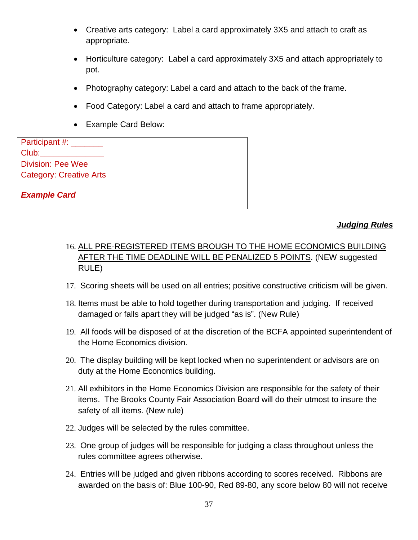- Creative arts category: Label a card approximately 3X5 and attach to craft as appropriate.
- Horticulture category: Label a card approximately 3X5 and attach appropriately to pot.
- Photography category: Label a card and attach to the back of the frame.
- Food Category: Label a card and attach to frame appropriately.
- Example Card Below:

Participant #: Club: Division: Pee Wee Category: Creative Arts

*Example Card*

## *Judging Rules*

- 16. ALL PRE-REGISTERED ITEMS BROUGH TO THE HOME ECONOMICS BUILDING AFTER THE TIME DEADLINE WILL BE PENALIZED 5 POINTS. (NEW suggested RULE)
- 17. Scoring sheets will be used on all entries; positive constructive criticism will be given.
- 18. Items must be able to hold together during transportation and judging. If received damaged or falls apart they will be judged "as is". (New Rule)
- 19. All foods will be disposed of at the discretion of the BCFA appointed superintendent of the Home Economics division.
- 20. The display building will be kept locked when no superintendent or advisors are on duty at the Home Economics building.
- 21. All exhibitors in the Home Economics Division are responsible for the safety of their items. The Brooks County Fair Association Board will do their utmost to insure the safety of all items. (New rule)
- 22. Judges will be selected by the rules committee.
- 23. One group of judges will be responsible for judging a class throughout unless the rules committee agrees otherwise.
- 24. Entries will be judged and given ribbons according to scores received. Ribbons are awarded on the basis of: Blue 100-90, Red 89-80, any score below 80 will not receive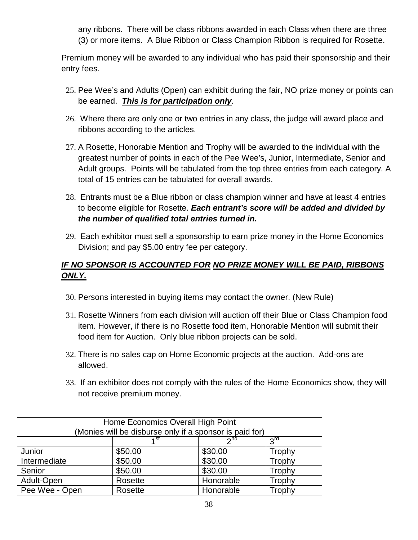any ribbons. There will be class ribbons awarded in each Class when there are three (3) or more items. A Blue Ribbon or Class Champion Ribbon is required for Rosette.

Premium money will be awarded to any individual who has paid their sponsorship and their entry fees.

- 25. Pee Wee's and Adults (Open) can exhibit during the fair, NO prize money or points can be earned. *This is for participation only*.
- 26. Where there are only one or two entries in any class, the judge will award place and ribbons according to the articles.
- 27. A Rosette, Honorable Mention and Trophy will be awarded to the individual with the greatest number of points in each of the Pee Wee's, Junior, Intermediate, Senior and Adult groups. Points will be tabulated from the top three entries from each category. A total of 15 entries can be tabulated for overall awards.
- 28. Entrants must be a Blue ribbon or class champion winner and have at least 4 entries to become eligible for Rosette. *Each entrant's score will be added and divided by the number of qualified total entries turned in.*
- 29. Each exhibitor must sell a sponsorship to earn prize money in the Home Economics Division; and pay \$5.00 entry fee per category.

# *IF NO SPONSOR IS ACCOUNTED FOR NO PRIZE MONEY WILL BE PAID, RIBBONS ONLY.*

- 30. Persons interested in buying items may contact the owner. (New Rule)
- 31. Rosette Winners from each division will auction off their Blue or Class Champion food item. However, if there is no Rosette food item, Honorable Mention will submit their food item for Auction. Only blue ribbon projects can be sold.
- 32. There is no sales cap on Home Economic projects at the auction. Add-ons are allowed.
- 33. If an exhibitor does not comply with the rules of the Home Economics show, they will not receive premium money.

| Home Economics Overall High Point<br>(Monies will be disburse only if a sponsor is paid for) |                                     |           |        |  |  |
|----------------------------------------------------------------------------------------------|-------------------------------------|-----------|--------|--|--|
|                                                                                              | 2 <sub>nd</sub><br><b>Pu</b><br>⊿st |           |        |  |  |
| \$30.00<br>\$50.00<br>Junior<br>Trophy                                                       |                                     |           |        |  |  |
| Intermediate                                                                                 | \$50.00                             | \$30.00   | Trophy |  |  |
| \$30.00<br>\$50.00<br>Trophy<br>Senior                                                       |                                     |           |        |  |  |
| Adult-Open<br>Honorable<br>Trophy<br>Rosette                                                 |                                     |           |        |  |  |
| Pee Wee - Open                                                                               | Rosette                             | Honorable | Trophy |  |  |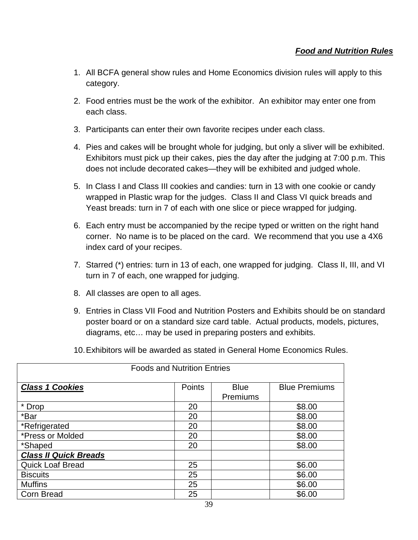- 1. All BCFA general show rules and Home Economics division rules will apply to this category.
- 2. Food entries must be the work of the exhibitor. An exhibitor may enter one from each class.
- 3. Participants can enter their own favorite recipes under each class.
- 4. Pies and cakes will be brought whole for judging, but only a sliver will be exhibited. Exhibitors must pick up their cakes, pies the day after the judging at 7:00 p.m. This does not include decorated cakes—they will be exhibited and judged whole.
- 5. In Class I and Class III cookies and candies: turn in 13 with one cookie or candy wrapped in Plastic wrap for the judges. Class II and Class VI quick breads and Yeast breads: turn in 7 of each with one slice or piece wrapped for judging.
- 6. Each entry must be accompanied by the recipe typed or written on the right hand corner. No name is to be placed on the card. We recommend that you use a 4X6 index card of your recipes.
- 7. Starred (\*) entries: turn in 13 of each, one wrapped for judging. Class II, III, and VI turn in 7 of each, one wrapped for judging.
- 8. All classes are open to all ages.
- 9. Entries in Class VII Food and Nutrition Posters and Exhibits should be on standard poster board or on a standard size card table. Actual products, models, pictures, diagrams, etc… may be used in preparing posters and exhibits.
- 10.Exhibitors will be awarded as stated in General Home Economics Rules.

| <b>Foods and Nutrition Entries</b> |        |                         |                      |  |
|------------------------------------|--------|-------------------------|----------------------|--|
| <b>Class 1 Cookies</b>             | Points | <b>Blue</b><br>Premiums | <b>Blue Premiums</b> |  |
| * Drop                             | 20     |                         | \$8.00               |  |
| *Bar                               | 20     |                         | \$8.00               |  |
| *Refrigerated                      | 20     |                         | \$8.00               |  |
| *Press or Molded                   | 20     |                         | \$8.00               |  |
| *Shaped                            | 20     |                         | \$8.00               |  |
| <b>Class II Quick Breads</b>       |        |                         |                      |  |
| <b>Quick Loaf Bread</b>            | 25     |                         | \$6.00               |  |
| <b>Biscuits</b>                    | 25     |                         | \$6.00               |  |
| <b>Muffins</b>                     | 25     |                         | \$6.00               |  |
| <b>Corn Bread</b>                  | 25     |                         | \$6.00               |  |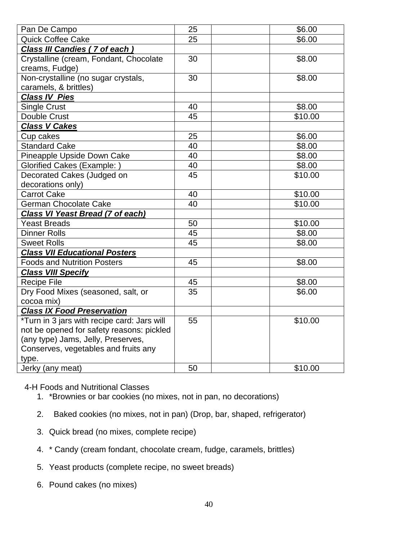| Pan De Campo                                | 25 | \$6.00  |
|---------------------------------------------|----|---------|
| <b>Quick Coffee Cake</b>                    | 25 | \$6.00  |
| Class III Candies (7 of each)               |    |         |
| Crystalline (cream, Fondant, Chocolate      | 30 | \$8.00  |
| creams, Fudge)                              |    |         |
| Non-crystalline (no sugar crystals,         | 30 | \$8.00  |
| caramels, & brittles)                       |    |         |
| <b>Class IV Pies</b>                        |    |         |
| Single Crust                                | 40 | \$8.00  |
| Double Crust                                | 45 | \$10.00 |
| <b>Class V Cakes</b>                        |    |         |
| Cup cakes                                   | 25 | \$6.00  |
| <b>Standard Cake</b>                        | 40 | \$8.00  |
| Pineapple Upside Down Cake                  | 40 | \$8.00  |
| <b>Glorified Cakes (Example:)</b>           | 40 | \$8.00  |
| Decorated Cakes (Judged on                  | 45 | \$10.00 |
| decorations only)                           |    |         |
| <b>Carrot Cake</b>                          | 40 | \$10.00 |
| German Chocolate Cake                       | 40 | \$10.00 |
| <b>Class VI Yeast Bread (7 of each)</b>     |    |         |
| <b>Yeast Breads</b>                         | 50 | \$10.00 |
| <b>Dinner Rolls</b>                         | 45 | \$8.00  |
| <b>Sweet Rolls</b>                          | 45 | \$8.00  |
| <b>Class VII Educational Posters</b>        |    |         |
| <b>Foods and Nutrition Posters</b>          | 45 | \$8.00  |
| <b>Class VIII Specify</b>                   |    |         |
| <b>Recipe File</b>                          | 45 | \$8.00  |
| Dry Food Mixes (seasoned, salt, or          | 35 | \$6.00  |
| cocoa mix)                                  |    |         |
| <b>Class IX Food Preservation</b>           |    |         |
| *Turn in 3 jars with recipe card: Jars will | 55 | \$10.00 |
| not be opened for safety reasons: pickled   |    |         |
| (any type) Jams, Jelly, Preserves,          |    |         |
| Conserves, vegetables and fruits any        |    |         |
| type.                                       |    |         |
| Jerky (any meat)                            | 50 | \$10.00 |

4-H Foods and Nutritional Classes

- 1. \*Brownies or bar cookies (no mixes, not in pan, no decorations)
- 2. Baked cookies (no mixes, not in pan) (Drop, bar, shaped, refrigerator)
- 3. Quick bread (no mixes, complete recipe)
- 4. \* Candy (cream fondant, chocolate cream, fudge, caramels, brittles)
- 5. Yeast products (complete recipe, no sweet breads)
- 6. Pound cakes (no mixes)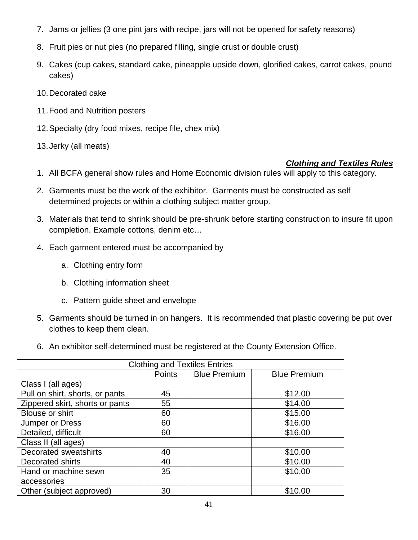- 7. Jams or jellies (3 one pint jars with recipe, jars will not be opened for safety reasons)
- 8. Fruit pies or nut pies (no prepared filling, single crust or double crust)
- 9. Cakes (cup cakes, standard cake, pineapple upside down, glorified cakes, carrot cakes, pound cakes)
- 10.Decorated cake
- 11.Food and Nutrition posters
- 12.Specialty (dry food mixes, recipe file, chex mix)
- 13.Jerky (all meats)

## *Clothing and Textiles Rules*

- 1. All BCFA general show rules and Home Economic division rules will apply to this category.
- 2. Garments must be the work of the exhibitor. Garments must be constructed as self determined projects or within a clothing subject matter group.
- 3. Materials that tend to shrink should be pre-shrunk before starting construction to insure fit upon completion. Example cottons, denim etc…
- 4. Each garment entered must be accompanied by
	- a. Clothing entry form
	- b. Clothing information sheet
	- c. Pattern guide sheet and envelope
- 5. Garments should be turned in on hangers. It is recommended that plastic covering be put over clothes to keep them clean.
- 6. An exhibitor self-determined must be registered at the County Extension Office.

| <b>Clothing and Textiles Entries</b> |                                                      |  |         |  |  |
|--------------------------------------|------------------------------------------------------|--|---------|--|--|
|                                      | Points<br><b>Blue Premium</b><br><b>Blue Premium</b> |  |         |  |  |
| Class I (all ages)                   |                                                      |  |         |  |  |
| Pull on shirt, shorts, or pants      | 45                                                   |  | \$12.00 |  |  |
| Zippered skirt, shorts or pants      | 55                                                   |  | \$14.00 |  |  |
| <b>Blouse or shirt</b>               | 60                                                   |  | \$15.00 |  |  |
| Jumper or Dress                      | 60                                                   |  | \$16.00 |  |  |
| Detailed, difficult                  | 60                                                   |  | \$16.00 |  |  |
| Class II (all ages)                  |                                                      |  |         |  |  |
| <b>Decorated sweatshirts</b>         | 40                                                   |  | \$10.00 |  |  |
| Decorated shirts                     | 40                                                   |  | \$10.00 |  |  |
| Hand or machine sewn                 | 35                                                   |  | \$10.00 |  |  |
| accessories                          |                                                      |  |         |  |  |
| Other (subject approved)             | 30                                                   |  | \$10.00 |  |  |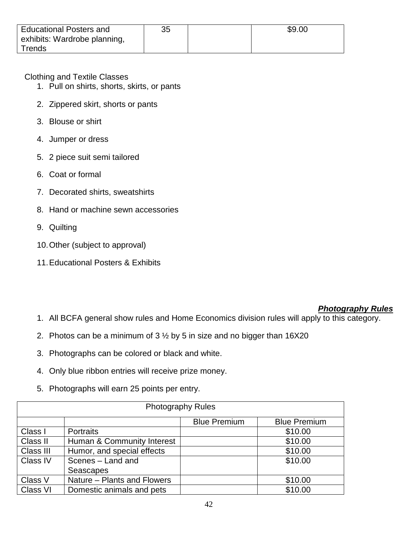| <b>Educational Posters and</b> | 35 | \$9.00 |
|--------------------------------|----|--------|
| exhibits: Wardrobe planning,   |    |        |
| $T$ rends                      |    |        |

Clothing and Textile Classes

- 1. Pull on shirts, shorts, skirts, or pants
- 2. Zippered skirt, shorts or pants
- 3. Blouse or shirt
- 4. Jumper or dress
- 5. 2 piece suit semi tailored
- 6. Coat or formal
- 7. Decorated shirts, sweatshirts
- 8. Hand or machine sewn accessories
- 9. Quilting
- 10.Other (subject to approval)
- 11.Educational Posters & Exhibits

## *Photography Rules*

- 1. All BCFA general show rules and Home Economics division rules will apply to this category.
- 2. Photos can be a minimum of  $3\frac{1}{2}$  by 5 in size and no bigger than 16X20
- 3. Photographs can be colored or black and white.
- 4. Only blue ribbon entries will receive prize money.
- 5. Photographs will earn 25 points per entry.

| <b>Photography Rules</b> |                                            |  |         |  |  |  |  |
|--------------------------|--------------------------------------------|--|---------|--|--|--|--|
|                          | <b>Blue Premium</b><br><b>Blue Premium</b> |  |         |  |  |  |  |
| Class I                  | <b>Portraits</b>                           |  | \$10.00 |  |  |  |  |
| Class II                 | Human & Community Interest                 |  | \$10.00 |  |  |  |  |
| Class III                | Humor, and special effects                 |  | \$10.00 |  |  |  |  |
| <b>Class IV</b>          | Scenes - Land and                          |  | \$10.00 |  |  |  |  |
|                          | Seascapes                                  |  |         |  |  |  |  |
| Class V                  | Nature - Plants and Flowers                |  | \$10.00 |  |  |  |  |
| Class VI                 | Domestic animals and pets                  |  | \$10.00 |  |  |  |  |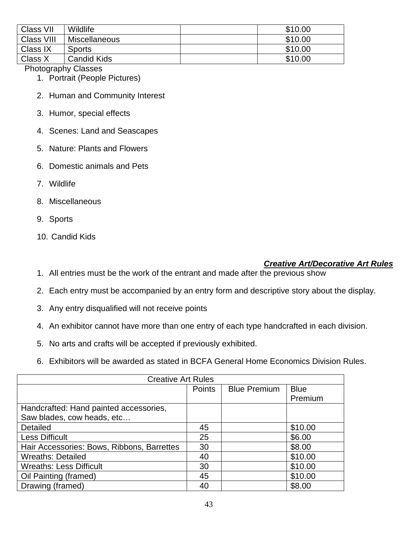| Class VII  | <b>Wildlife</b>    | \$10.00 |
|------------|--------------------|---------|
| Class VIII | Miscellaneous      | \$10.00 |
| Class IX   | <b>Sports</b>      | \$10.00 |
| Class X    | <b>Candid Kids</b> | \$10.00 |

Photography Classes

- 1. Portrait (People Pictures)
- 2. Human and Community Interest
- 3. Humor, special effects
- 4. Scenes: Land and Seascapes
- 5. Nature: Plants and Flowers
- 6. Domestic animals and Pets
- 7. Wildlife
- 8. Miscellaneous
- 9. Sports
- 10. Candid Kids

## *Creative Art/Decorative Art Rules*

- 1. All entries must be the work of the entrant and made after the previous show
- 2. Each entry must be accompanied by an entry form and descriptive story about the display.
- 3. Any entry disqualified will not receive points
- 4. An exhibitor cannot have more than one entry of each type handcrafted in each division.
- 5. No arts and crafts will be accepted if previously exhibited.
- 6. Exhibitors will be awarded as stated in BCFA General Home Economics Division Rules.

| <b>Creative Art Rules</b>                  |               |                     |             |  |
|--------------------------------------------|---------------|---------------------|-------------|--|
|                                            | <b>Points</b> | <b>Blue Premium</b> | <b>Blue</b> |  |
|                                            |               |                     | Premium     |  |
| Handcrafted: Hand painted accessories,     |               |                     |             |  |
| Saw blades, cow heads, etc                 |               |                     |             |  |
| Detailed                                   | 45            |                     | \$10.00     |  |
| <b>Less Difficult</b>                      | 25            |                     | \$6.00      |  |
| Hair Accessories: Bows, Ribbons, Barrettes | 30            |                     | \$8.00      |  |
| <b>Wreaths: Detailed</b>                   | 40            |                     | \$10.00     |  |
| <b>Wreaths: Less Difficult</b>             | 30            |                     | \$10.00     |  |
| Oil Painting (framed)                      | 45            |                     | \$10.00     |  |
| Drawing (framed)                           | 40            |                     | \$8.00      |  |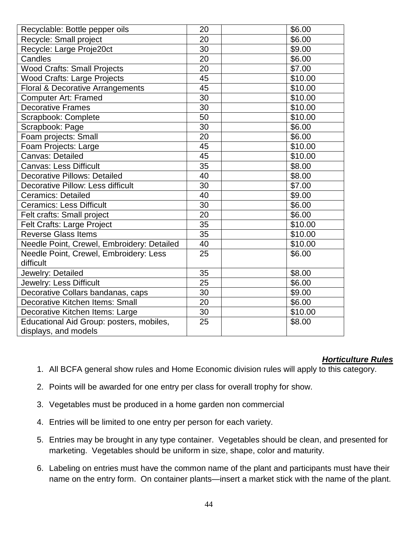| Recyclable: Bottle pepper oils                                   | 20 | \$6.00  |
|------------------------------------------------------------------|----|---------|
| Recycle: Small project                                           | 20 | \$6.00  |
| Recycle: Large Proje20ct                                         | 30 | \$9.00  |
| Candles                                                          | 20 | \$6.00  |
| <b>Wood Crafts: Small Projects</b>                               | 20 | \$7.00  |
| <b>Wood Crafts: Large Projects</b>                               | 45 | \$10.00 |
| Floral & Decorative Arrangements                                 | 45 | \$10.00 |
| <b>Computer Art: Framed</b>                                      | 30 | \$10.00 |
| <b>Decorative Frames</b>                                         | 30 | \$10.00 |
| Scrapbook: Complete                                              | 50 | \$10.00 |
| Scrapbook: Page                                                  | 30 | \$6.00  |
| Foam projects: Small                                             | 20 | \$6.00  |
| Foam Projects: Large                                             | 45 | \$10.00 |
| Canvas: Detailed                                                 | 45 | \$10.00 |
| <b>Canvas: Less Difficult</b>                                    | 35 | \$8.00  |
| <b>Decorative Pillows: Detailed</b>                              | 40 | \$8.00  |
| <b>Decorative Pillow: Less difficult</b>                         | 30 | \$7.00  |
| <b>Ceramics: Detailed</b>                                        | 40 | \$9.00  |
| <b>Ceramics: Less Difficult</b>                                  | 30 | \$6.00  |
| Felt crafts: Small project                                       | 20 | \$6.00  |
| Felt Crafts: Large Project                                       | 35 | \$10.00 |
| <b>Reverse Glass Items</b>                                       | 35 | \$10.00 |
| Needle Point, Crewel, Embroidery: Detailed                       | 40 | \$10.00 |
| Needle Point, Crewel, Embroidery: Less<br>difficult              | 25 | \$6.00  |
| Jewelry: Detailed                                                | 35 | \$8.00  |
| Jewelry: Less Difficult                                          | 25 | \$6.00  |
| Decorative Collars bandanas, caps                                | 30 | \$9.00  |
| Decorative Kitchen Items: Small                                  | 20 | \$6.00  |
| Decorative Kitchen Items: Large                                  | 30 | \$10.00 |
| Educational Aid Group: posters, mobiles,<br>displays, and models | 25 | \$8.00  |

## *Horticulture Rules*

- 1. All BCFA general show rules and Home Economic division rules will apply to this category.
- 2. Points will be awarded for one entry per class for overall trophy for show.
- 3. Vegetables must be produced in a home garden non commercial
- 4. Entries will be limited to one entry per person for each variety.
- 5. Entries may be brought in any type container. Vegetables should be clean, and presented for marketing. Vegetables should be uniform in size, shape, color and maturity.
- 6. Labeling on entries must have the common name of the plant and participants must have their name on the entry form. On container plants—insert a market stick with the name of the plant.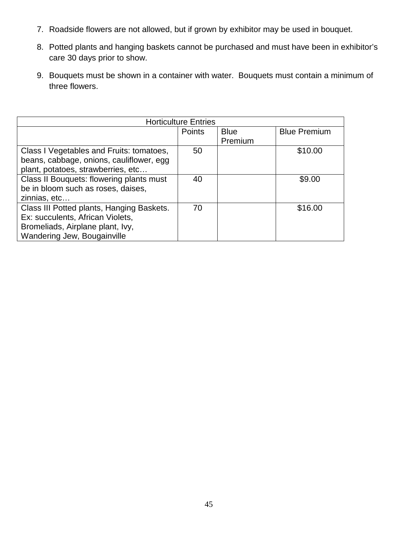- 7. Roadside flowers are not allowed, but if grown by exhibitor may be used in bouquet.
- 8. Potted plants and hanging baskets cannot be purchased and must have been in exhibitor's care 30 days prior to show.
- 9. Bouquets must be shown in a container with water. Bouquets must contain a minimum of three flowers.

| <b>Horticulture Entries</b>               |        |             |                     |  |
|-------------------------------------------|--------|-------------|---------------------|--|
|                                           | Points | <b>Blue</b> | <b>Blue Premium</b> |  |
|                                           |        | Premium     |                     |  |
| Class I Vegetables and Fruits: tomatoes,  | 50     |             | \$10.00             |  |
| beans, cabbage, onions, cauliflower, egg  |        |             |                     |  |
| plant, potatoes, strawberries, etc        |        |             |                     |  |
| Class II Bouquets: flowering plants must  | 40     |             | \$9.00              |  |
| be in bloom such as roses, daises,        |        |             |                     |  |
| zinnias, etc                              |        |             |                     |  |
| Class III Potted plants, Hanging Baskets. | 70     |             | \$16.00             |  |
| Ex: succulents, African Violets,          |        |             |                     |  |
| Bromeliads, Airplane plant, Ivy,          |        |             |                     |  |
| Wandering Jew, Bougainville               |        |             |                     |  |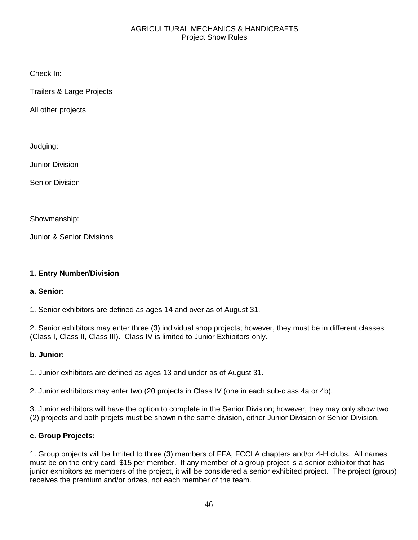#### AGRICULTURAL MECHANICS & HANDICRAFTS Project Show Rules

Check In:

Trailers & Large Projects

All other projects

Judging:

Junior Division

Senior Division

Showmanship:

Junior & Senior Divisions

## **1. Entry Number/Division**

#### **a. Senior:**

1. Senior exhibitors are defined as ages 14 and over as of August 31.

2. Senior exhibitors may enter three (3) individual shop projects; however, they must be in different classes (Class I, Class II, Class III). Class IV is limited to Junior Exhibitors only.

## **b. Junior:**

1. Junior exhibitors are defined as ages 13 and under as of August 31.

2. Junior exhibitors may enter two (20 projects in Class IV (one in each sub-class 4a or 4b).

3. Junior exhibitors will have the option to complete in the Senior Division; however, they may only show two (2) projects and both projets must be shown n the same division, either Junior Division or Senior Division.

## **c. Group Projects:**

1. Group projects will be limited to three (3) members of FFA, FCCLA chapters and/or 4-H clubs. All names must be on the entry card, \$15 per member. If any member of a group project is a senior exhibitor that has junior exhibitors as members of the project, it will be considered a senior exhibited project. The project (group) receives the premium and/or prizes, not each member of the team.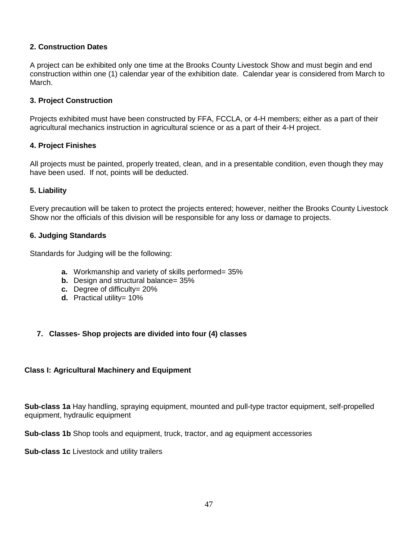#### **2. Construction Dates**

A project can be exhibited only one time at the Brooks County Livestock Show and must begin and end construction within one (1) calendar year of the exhibition date. Calendar year is considered from March to March.

#### **3. Project Construction**

Projects exhibited must have been constructed by FFA, FCCLA, or 4-H members; either as a part of their agricultural mechanics instruction in agricultural science or as a part of their 4-H project.

#### **4. Project Finishes**

All projects must be painted, properly treated, clean, and in a presentable condition, even though they may have been used. If not, points will be deducted.

#### **5. Liability**

Every precaution will be taken to protect the projects entered; however, neither the Brooks County Livestock Show nor the officials of this division will be responsible for any loss or damage to projects.

#### **6. Judging Standards**

Standards for Judging will be the following:

- **a.** Workmanship and variety of skills performed= 35%
- **b.** Design and structural balance= 35%
- **c.** Degree of difficulty= 20%
- **d.** Practical utility= 10%

## **7. Classes- Shop projects are divided into four (4) classes**

#### **Class I: Agricultural Machinery and Equipment**

**Sub-class 1a** Hay handling, spraying equipment, mounted and pull-type tractor equipment, self-propelled equipment, hydraulic equipment

**Sub-class 1b** Shop tools and equipment, truck, tractor, and ag equipment accessories

**Sub-class 1c** Livestock and utility trailers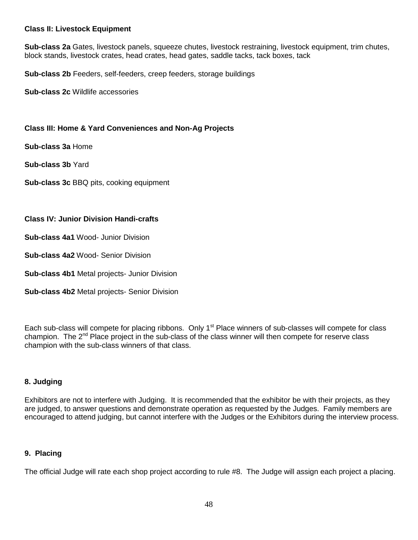#### **Class II: Livestock Equipment**

**Sub-class 2a** Gates, livestock panels, squeeze chutes, livestock restraining, livestock equipment, trim chutes, block stands, livestock crates, head crates, head gates, saddle tacks, tack boxes, tack

**Sub-class 2b** Feeders, self-feeders, creep feeders, storage buildings

**Sub-class 2c** Wildlife accessories

#### **Class III: Home & Yard Conveniences and Non-Ag Projects**

**Sub-class 3a** Home

**Sub-class 3b** Yard

**Sub-class 3c** BBQ pits, cooking equipment

#### **Class IV: Junior Division Handi-crafts**

**Sub-class 4a1** Wood- Junior Division

**Sub-class 4a2** Wood- Senior Division

**Sub-class 4b1** Metal projects- Junior Division

**Sub-class 4b2** Metal projects- Senior Division

Each sub-class will compete for placing ribbons. Only 1<sup>st</sup> Place winners of sub-classes will compete for class champion. The  $2^{nd}$  Place project in the sub-class of the class winner will then compete for reserve class champion with the sub-class winners of that class.

#### **8. Judging**

Exhibitors are not to interfere with Judging. It is recommended that the exhibitor be with their projects, as they are judged, to answer questions and demonstrate operation as requested by the Judges. Family members are encouraged to attend judging, but cannot interfere with the Judges or the Exhibitors during the interview process.

#### **9. Placing**

The official Judge will rate each shop project according to rule #8. The Judge will assign each project a placing.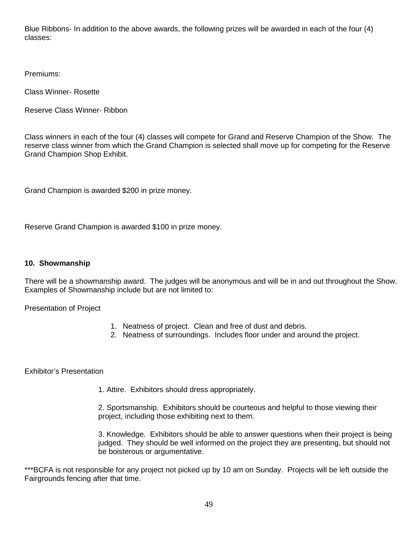Blue Ribbons- In addition to the above awards, the following prizes will be awarded in each of the four (4) classes:

Premiums:

Class Winner- Rosette

Reserve Class Winner- Ribbon

Class winners in each of the four (4) classes will compete for Grand and Reserve Champion of the Show. The reserve class winner from which the Grand Champion is selected shall move up for competing for the Reserve Grand Champion Shop Exhibit.

Grand Champion is awarded \$200 in prize money.

Reserve Grand Champion is awarded \$100 in prize money.

#### **10. Showmanship**

There will be a showmanship award. The judges will be anonymous and will be in and out throughout the Show. Examples of Showmanship include but are not limited to:

Presentation of Project

- 1. Neatness of project. Clean and free of dust and debris.
- 2. Neatness of surroundings. Includes floor under and around the project.

Exhibitor's Presentation

1. Attire. Exhibitors should dress appropriately.

2. Sportsmanship. Exhibitors should be courteous and helpful to those viewing their project, including those exhibiting next to them.

3. Knowledge. Exhibitors should be able to answer questions when their project is being judged. They should be well informed on the project they are presenting, but should not be boisterous or argumentative.

\*\*\*BCFA is not responsible for any project not picked up by 10 am on Sunday. Projects will be left outside the Fairgrounds fencing after that time.